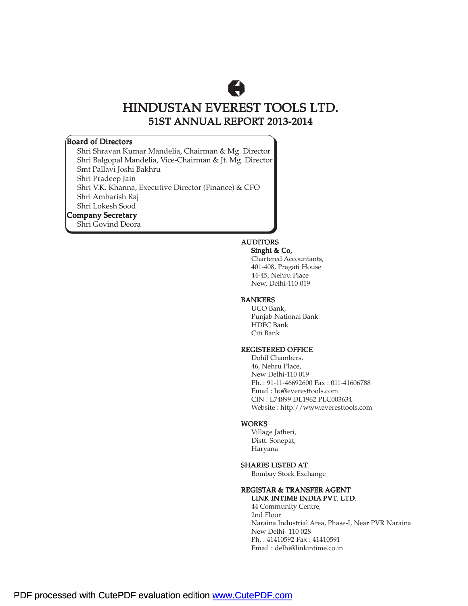# A

### HINDUSTAN EVEREST TOOLS LTD. 51ST ANNUAL REPORT 2013-2014

### Board of Directors

Shri Shravan Kumar Mandelia, Chairman & Mg. Director Shri Balgopal Mandelia, Vice-Chairman & Jt. Mg. Director Smt Pallavi Joshi Bakhru Shri Pradeep Jain Shri V.K. Khanna, Executive Director (Finance) & CFO Shri Ambarish Raj Shri Lokesh Sood Company Secretary Shri Govind Deora

### AUDITORS

### Singhi & Co,

Chartered Accountants, 401-408, Pragati House 44-45, Nehru Place New, Delhi-110 019

### BANKERS

UCO Bank, Punjab National Bank HDFC Bank Citi Bank

### REGISTERED OFFICE

Dohil Chambers, 46, Nehru Place, New Delhi-110 019 Ph. : 91-11-46692600 Fax : 011-41606788 Email : ho@everesttools.com CIN : L74899 DL1962 PLC003634 Website : http://www.everesttools.com

### WORKS

Village Jatheri, Distt. Sonepat, Haryana

### SHARES LISTED AT

Bombay Stock Exchange

### REGISTAR & TRANSFER AGENT LINK INTIME INDIA PVT. LTD.

44 Community Centre, 2nd Floor Naraina Industrial Area, Phase-I, Near PVR Naraina New Delhi- 110 028 Ph. : 41410592 Fax : 41410591 Email : delhi@linkintime.co.in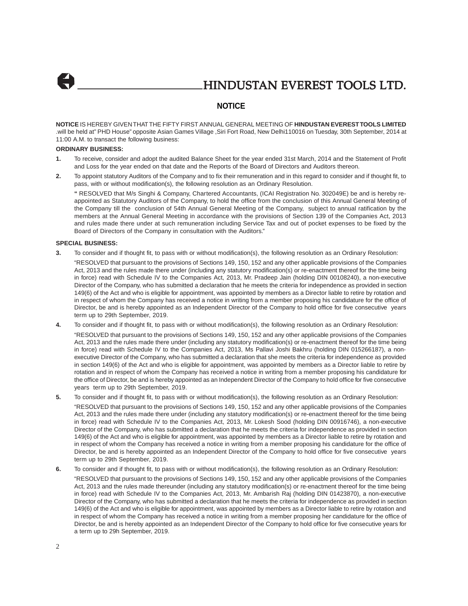### **NOTICE**

**NOTICE** IS HEREBY GIVEN THAT THE FIFTY FIRST ANNUAL GENERAL MEETING OF **HINDUSTAN EVEREST TOOLS LIMITED** .will be held at" PHD House" opposite Asian Games Village ,Siri Fort Road, New Delhi110016 on Tuesday, 30th September, 2014 at 11:00 A.M. to transact the following business:

#### **ORDINARY BUSINESS:**

- **1.** To receive, consider and adopt the audited Balance Sheet for the year ended 31st March, 2014 and the Statement of Profit and Loss for the year ended on that date and the Reports of the Board of Directors and Auditors thereon.
- **2.** To appoint statutory Auditors of the Company and to fix their remuneration and in this regard to consider and if thought fit, to pass, with or without modification(s), the following resolution as an Ordinary Resolution.

**"** RESOLVED that M/s Singhi & Company, Chartered Accountants, (ICAI Registration No. 302049E) be and is hereby reappointed as Statutory Auditors of the Company, to hold the office from the conclusion of this Annual General Meeting of the Company till the conclusion of 54th Annual General Meeting of the Company, subject to annual ratification by the members at the Annual General Meeting in accordance with the provisions of Section 139 of the Companies Act, 2013 and rules made there under at such remuneration including Service Tax and out of pocket expenses to be fixed by the Board of Directors of the Company in consultation with the Auditors."

### **SPECIAL BUSINESS:**

**3.** To consider and if thought fit, to pass with or without modification(s), the following resolution as an Ordinary Resolution:

"RESOLVED that pursuant to the provisions of Sections 149, 150, 152 and any other applicable provisions of the Companies Act, 2013 and the rules made there under (including any statutory modification(s) or re-enactment thereof for the time being in force) read with Schedule IV to the Companies Act, 2013, Mr. Pradeep Jain (holding DIN 00108240), a non-executive Director of the Company, who has submitted a declaration that he meets the criteria for independence as provided in section 149(6) of the Act and who is eligible for appointment, was appointed by members as a Director liable to retire by rotation and in respect of whom the Company has received a notice in writing from a member proposing his candidature for the office of Director, be and is hereby appointed as an Independent Director of the Company to hold office for five consecutive years term up to 29th September, 2019.

- **4.** To consider and if thought fit, to pass with or without modification(s), the following resolution as an Ordinary Resolution: "RESOLVED that pursuant to the provisions of Sections 149, 150, 152 and any other applicable provisions of the Companies Act, 2013 and the rules made there under (including any statutory modification(s) or re-enactment thereof for the time being in force) read with Schedule IV to the Companies Act, 2013, Ms Pallavi Joshi Bakhru (holding DIN 015266187), a nonexecutive Director of the Company, who has submitted a declaration that she meets the criteria for independence as provided in section 149(6) of the Act and who is eligible for appointment, was appointed by members as a Director liable to retire by rotation and in respect of whom the Company has received a notice in writing from a member proposing his candidature for the office of Director, be and is hereby appointed as an Independent Director of the Company to hold office for five consecutive years term up to 29th September, 2019.
- **5.** To consider and if thought fit, to pass with or without modification(s), the following resolution as an Ordinary Resolution: "RESOLVED that pursuant to the provisions of Sections 149, 150, 152 and any other applicable provisions of the Companies Act, 2013 and the rules made there under (including any statutory modification(s) or re-enactment thereof for the time being in force) read with Schedule IV to the Companies Act, 2013, Mr. Lokesh Sood (holding DIN 00916746), a non-executive Director of the Company, who has submitted a declaration that he meets the criteria for independence as provided in section 149(6) of the Act and who is eligible for appointment, was appointed by members as a Director liable to retire by rotation and in respect of whom the Company has received a notice in writing from a member proposing his candidature for the office of Director, be and is hereby appointed as an Independent Director of the Company to hold office for five consecutive years term up to 29th September, 2019.
- **6.** To consider and if thought fit, to pass with or without modification(s), the following resolution as an Ordinary Resolution: "RESOLVED that pursuant to the provisions of Sections 149, 150, 152 and any other applicable provisions of the Companies Act, 2013 and the rules made thereunder (including any statutory modification(s) or re-enactment thereof for the time being in force) read with Schedule IV to the Companies Act, 2013, Mr. Ambarish Raj (holding DIN 01423870), a non-executive Director of the Company, who has submitted a declaration that he meets the criteria for independence as provided in section 149(6) of the Act and who is eligible for appointment, was appointed by members as a Director liable to retire by rotation and in respect of whom the Company has received a notice in writing from a member proposing her candidature for the office of Director, be and is hereby appointed as an Independent Director of the Company to hold office for five consecutive years for a term up to 29h September, 2019.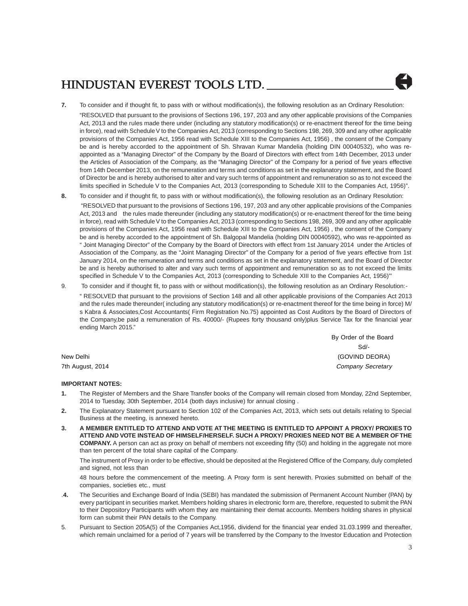

**7.** To consider and if thought fit, to pass with or without modification(s), the following resolution as an Ordinary Resolution:

"RESOLVED that pursuant to the provisions of Sections 196, 197, 203 and any other applicable provisions of the Companies Act, 2013 and the rules made there under (including any statutory modification(s) or re-enactment thereof for the time being in force), read with Schedule V to the Companies Act, 2013 (corresponding to Sections 198, 269, 309 and any other applicable provisions of the Companies Act, 1956 read with Schedule XIII to the Companies Act, 1956) , the consent of the Company be and is hereby accorded to the appointment of Sh. Shravan Kumar Mandelia (holding DIN 00040532), who was reappointed as a "Managing Director" of the Company by the Board of Directors with effect from 14th December, 2013 under the Articles of Association of the Company, as the "Managing Director" of the Company for a period of five years effective from 14th December 2013, on the remuneration and terms and conditions as set in the explanatory statement, and the Board of Director be and is hereby authorised to alter and vary such terms of appointment and remuneration so as to not exceed the limits specified in Schedule V to the Companies Act, 2013 (corresponding to Schedule XIII to the Companies Act, 1956)".

**8.** To consider and if thought fit, to pass with or without modification(s), the following resolution as an Ordinary Resolution:

 "RESOLVED that pursuant to the provisions of Sections 196, 197, 203 and any other applicable provisions of the Companies Act, 2013 and the rules made thereunder (including any statutory modification(s) or re-enactment thereof for the time being in force), read with Schedule V to the Companies Act, 2013 (corresponding to Sections 198, 269, 309 and any other applicable provisions of the Companies Act, 1956 read with Schedule XIII to the Companies Act, 1956) , the consent of the Company be and is hereby accorded to the appointment of Sh. Balgopal Mandelia (holding DIN 00040592), who was re-appointed as " Joint Managing Director" of the Company by the Board of Directors with effect from 1st January 2014 under the Articles of Association of the Company, as the "Joint Managing Director" of the Company for a period of five years effective from 1st January 2014, on the remuneration and terms and conditions as set in the explanatory statement, and the Board of Director be and is hereby authorised to alter and vary such terms of appointment and remuneration so as to not exceed the limits specified in Schedule V to the Companies Act, 2013 (corresponding to Schedule XIII to the Companies Act, 1956)"'

9. To consider and if thought fit, to pass with or without modification(s), the following resolution as an Ordinary Resolution:-

" RESOLVED that pursuant to the provisions of Section 148 and all other applicable provisions of the Companies Act 2013 and the rules made thereunder( including any statutory modification(s) or re-enactment thereof for the time being in force) M/ s Kabra & Associates,Cost Accountants( Firm Registration No.75) appointed as Cost Auditors by the Board of Directors of the Company,be paid a remuneration of Rs. 40000/- (Rupees forty thousand only)plus Service Tax for the financial year ending March 2015."

|                  | Dy Older of the Doald |
|------------------|-----------------------|
|                  | Sd/-                  |
| New Delhi        | (GOVIND DEORA)        |
| 7th August, 2014 | Company Secretary     |

### **IMPORTANT NOTES:**

- **1.** The Register of Members and the Share Transfer books of the Company will remain closed from Monday, 22nd September, 2014 to Tuesday, 30th September, 2014 (both days inclusive) for annual closing .
- **2.** The Explanatory Statement pursuant to Section 102 of the Companies Act, 2013, which sets out details relating to Special Business at the meeting, is annexed hereto.
- **3. A MEMBER ENTITLED TO ATTEND AND VOTE AT THE MEETING IS ENTITLED TO APPOINT A PROXY/ PROXIES TO ATTEND AND VOTE INSTEAD OF HIMSELF/HERSELF. SUCH A PROXY/ PROXIES NEED NOT BE A MEMBER OF THE COMPANY.** A person can act as proxy on behalf of members not exceeding fifty (50) and holding in the aggregate not more than ten percent of the total share capital of the Company.

The instrument of Proxy in order to be effective, should be deposited at the Registered Office of the Company, duly completed and signed, not less than

48 hours before the commencement of the meeting. A Proxy form is sent herewith. Proxies submitted on behalf of the companies, societies etc., must

- .**4.** The Securities and Exchange Board of India (SEBI) has mandated the submission of Permanent Account Number (PAN) by every participant in securities market. Members holding shares in electronic form are, therefore, requested to submit the PAN to their Depository Participants with whom they are maintaining their demat accounts. Members holding shares in physical form can submit their PAN details to the Company.
- 5. Pursuant to Section 205A(5) of the Companies Act,1956, dividend for the financial year ended 31.03.1999 and thereafter, which remain unclaimed for a period of 7 years will be transferred by the Company to the Investor Education and Protection

By Order of the Board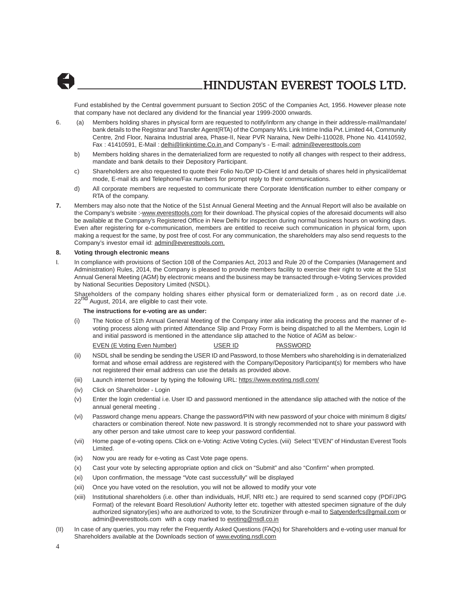

Fund established by the Central government pursuant to Section 205C of the Companies Act, 1956. However please note that company have not declared any dividend for the financial year 1999-2000 onwards.

- 6. (a) Members holding shares in physical form are requested to notify/inform any change in their address/e-mail/mandate/ bank details to the Registrar and Transfer Agent(RTA) of the Company M/s. Link Intime India Pvt. Limited 44, Community Centre, 2nd Floor, Naraina Industrial area, Phase-II, Near PVR Naraina, New Delhi-110028, Phone No. 41410592, Fax : 41410591, E-Mail : delhi@linkintime.Co.in and Company's - E-mail: admin@everesttools.com
	- b) Members holding shares in the dematerialized form are requested to notify all changes with respect to their address, mandate and bank details to their Depository Participant.
	- c) Shareholders are also requested to quote their Folio No./DP ID-Client Id and details of shares held in physical/demat mode, E-mail ids and Telephone/Fax numbers for prompt reply to their communications.
	- d) All corporate members are requested to communicate there Corporate Identification number to either company or RTA of the company.
- **7.** Members may also note that the Notice of the 51st Annual General Meeting and the Annual Report will also be available on the Company's website :-www.everesttools.com for their download. The physical copies of the aforesaid documents will also be available at the Company's Registered Office in New Delhi for inspection during normal business hours on working days. Even after registering for e-communication, members are entitled to receive such communication in physical form, upon making a request for the same, by post free of cost. For any communication, the shareholders may also send requests to the Company's investor email id: admin@everesttools.com.

#### **8. Voting through electronic means**

I. In compliance with provisions of Section 108 of the Companies Act, 2013 and Rule 20 of the Companies (Management and Administration) Rules, 2014, the Company is pleased to provide members facility to exercise their right to vote at the 51st Annual General Meeting (AGM) by electronic means and the business may be transacted through e-Voting Services provided by National Securities Depository Limited (NSDL).

Shareholders of the company holding shares either physical form or dematerialized form, as on record date ,i.e. 22<sup>nd</sup> August, 2014, are eligible to cast their vote.

#### **The instructions for e-voting are as under:**

(i) The Notice of 51th Annual General Meeting of the Company inter alia indicating the process and the manner of evoting process along with printed Attendance Slip and Proxy Form is being dispatched to all the Members, Login Id and initial password is mentioned in the attendance slip attached to the Notice of AGM as below:-

EVEN (E Voting Even Number) USER ID PASSWORD

- 
- (ii) NSDL shall be sending be sending the USER ID and Password, to those Members who shareholding is in dematerialized format and whose email address are registered with the Company/Depository Participant(s) for members who have not registered their email address can use the details as provided above.
- (iii) Launch internet browser by typing the following URL: https://www.evoting.nsdl.com/
- (iv) Click on Shareholder Login
- (v) Enter the login credential i.e. User ID and password mentioned in the attendance slip attached with the notice of the annual general meeting .
- (vi) Password change menu appears. Change the password/PIN with new password of your choice with minimum 8 digits/ characters or combination thereof. Note new password. It is strongly recommended not to share your password with any other person and take utmost care to keep your password confidential.
- (vii) Home page of e-voting opens. Click on e-Voting: Active Voting Cycles. (viii) Select "EVEN" of Hindustan Everest Tools Limited.
- (ix) Now you are ready for e-voting as Cast Vote page opens.
- (x) Cast your vote by selecting appropriate option and click on "Submit" and also "Confirm" when prompted.
- (xi) Upon confirmation, the message "Vote cast successfully" will be displayed
- (xii) Once you have voted on the resolution, you will not be allowed to modify your vote
- (xiii) Institutional shareholders (i.e. other than individuals, HUF, NRI etc.) are required to send scanned copy (PDF/JPG Format) of the relevant Board Resolution/ Authority letter etc. together with attested specimen signature of the duly authorized signatory(ies) who are authorized to vote, to the Scrutinizer through e-mail to Satyenderfcs@gmail.com or admin@everesttools.com with a copy marked to evoting@nsdl.co.in
- (II) In case of any queries, you may refer the Frequently Asked Questions (FAQs) for Shareholders and e-voting user manual for Shareholders available at the Downloads section of www.evoting.nsdl.com

4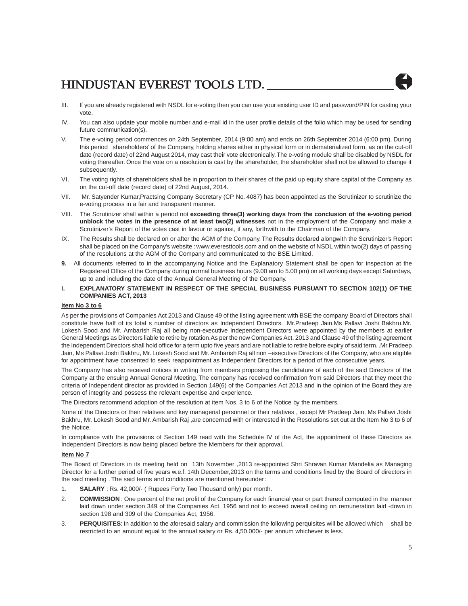- III. If you are already registered with NSDL for e-voting then you can use your existing user ID and password/PIN for casting your vote.
- IV. You can also update your mobile number and e-mail id in the user profile details of the folio which may be used for sending future communication(s).
- V. The e-voting period commences on 24th September, 2014 (9:00 am) and ends on 26th September 2014 (6:00 pm). During this period shareholders' of the Company, holding shares either in physical form or in dematerialized form, as on the cut-off date (record date) of 22nd August 2014, may cast their vote electronically. The e-voting module shall be disabled by NSDL for voting thereafter. Once the vote on a resolution is cast by the shareholder, the shareholder shall not be allowed to change it subsequently.
- VI. The voting rights of shareholders shall be in proportion to their shares of the paid up equity share capital of the Company as on the cut-off date (record date) of 22nd August, 2014.
- VII. Mr. Satyender Kumar,Practsing Company Secretary (CP No. 4087) has been appointed as the Scrutinizer to scrutinize the e-voting process in a fair and transparent manner.
- VIII. The Scrutinizer shall within a period not **exceeding three(3) working days from the conclusion of the e-voting period unblock the votes in the presence of at least two(2) witnesses** not in the employment of the Company and make a Scrutinizer's Report of the votes cast in favour or against, if any, forthwith to the Chairman of the Company.
- IX. The Results shall be declared on or after the AGM of the Company. The Results declared alongwith the Scrutinizer's Report shall be placed on the Company's website : www.everesttools.com and on the website of NSDL within two(2) days of passing of the resolutions at the AGM of the Company and communicated to the BSE Limited.
- **9.** All documents referred to in the accompanying Notice and the Explanatory Statement shall be open for inspection at the Registered Office of the Company during normal business hours (9.00 am to 5.00 pm) on all working days except Saturdays, up to and including the date of the Annual General Meeting of the Company.
- **I. EXPLANATORY STATEMENT IN RESPECT OF THE SPECIAL BUSINESS PURSUANT TO SECTION 102(1) OF THE COMPANIES ACT, 2013**

### **Item No 3 to 6**

As per the provisions of Companies Act 2013 and Clause 49 of the listing agreement with BSE the company Board of Directors shall constitute have half of its total s number of directors as Independent Directors. .Mr.Pradeep Jain,Ms Pallavi Joshi Bakhru,Mr. Lokesh Sood and Mr. Ambarish Raj all being non-executive Independent Directors were appointed by the members at earlier General Meetings as Directors liable to retire by rotation.As per the new Companies Act, 2013 and Clause 49 of the listing agreement the Independent Directors shall hold office for a term upto five years and are not liable to retire before expiry of said term. .Mr.Pradeep Jain, Ms Pallavi Joshi Bakhru, Mr. Lokesh Sood and Mr. Ambarish Raj all non –executive Directors of the Company, who are eligible for appointment have consented to seek reappointment as Independent Directors for a period of five consecutive years.

The Company has also received notices in writing from members proposing the candidature of each of the said Directors of the Company at the ensuing Annual General Meeting. The company has received confirmation from said Directors that they meet the criteria of Independent director as provided in Section 149(6) of the Companies Act 2013 and in the opinion of the Board they are person of integrity and possess the relevant expertise and experience.

The Directors recommend adoption of the resolution at item Nos. 3 to 6 of the Notice by the members.

None of the Directors or their relatives and key managerial personnel or their relatives , except Mr Pradeep Jain, Ms Pallavi Joshi Bakhru, Mr. Lokesh Sood and Mr. Ambarish Raj ,are concerned with or interested in the Resolutions set out at the Item No 3 to 6 of the Notice.

In compliance with the provisions of Section 149 read with the Schedule IV of the Act, the appointment of these Directors as Independent Directors is now being placed before the Members for their approval.

### **Item No 7**

The Board of Directors in its meeting held on 13th November ,2013 re-appointed Shri Shravan Kumar Mandelia as Managing Director for a further period of five years w.e.f. 14th December,2013 on the terms and conditions fixed by the Board of directors in the said meeting . The said terms and conditions are mentioned hereunder:

- 1. **SALARY** : Rs. 42,000/- ( Rupees Forty Two Thousand only) per month.
- 2. **COMMISSION** : One percent of the net profit of the Company for each financial year or part thereof computed in the manner laid down under section 349 of the Companies Act, 1956 and not to exceed overall ceiling on remuneration laid -down in section 198 and 309 of the Companies Act, 1956.
- 3. **PERQUISITES**: In addition to the aforesaid salary and commission the following perquisites will be allowed which shall be restricted to an amount equal to the annual salary or Rs. 4,50,000/- per annum whichever is less.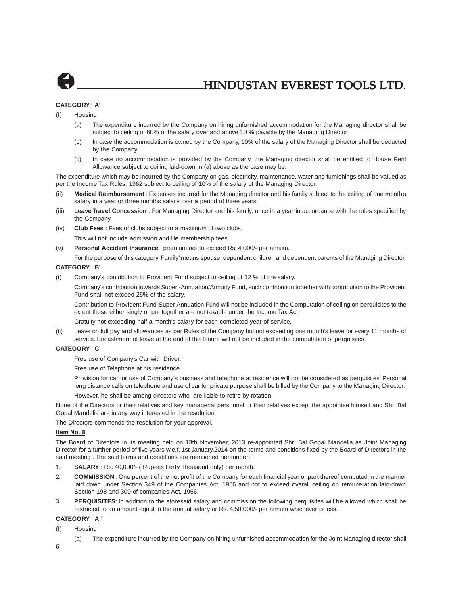

### **CATEGORY ' A'**

(I) Housing

- (a) The expenditure incurred by the Company on hiring unfurnished accommodation for the Managing director shall be subject to ceiling of 60% of the salary over and above 10 % payable by the Managing Director.
- (b) In case the accommodation is owned by the Company, 10% of the salary of the Managing Director shall be deducted by the Company.
- (c) In case no accommodation is provided by the Company, the Managing director shall be entitled to House Rent Allowance subject to ceiling laid-down in (a) above as the case may be.

The expenditure which may be incurred by the Company on gas, electricity, maintenance, water and furnishings shall be valued as per the Income Tax Rules, 1962 subject to ceiling of 10% of the salary of the Managing Director.

- (ii) **Medical Reimbursement** : Expenses incurred for the Managing director and his family subject to the ceiling of one month's salary in a year or three months salary over a period of three years.
- (iii) **Leave Travel Concession** : For Managing Director and his family, once in a year in accordance with the rules specified by the Company.
- (iv) **Club Fees** : Fees of clubs subject to a maximum of two clubs. This will not include admission and life membership fees.
- (v) **Personal Accident Insurance** : premium not to exceed Rs. 4,000/- per annum.

For the purpose of this category 'Family' means spouse, dependent children and dependent parents of the Managing Director.

### **CATEGORY ' B'**

(i) Company's contribution to Provident Fund subject to ceiling of 12 % of the salary.

Company's contribution towards Super -Annuation/Annuity Fund, such contribution together with contribution to the Provident Fund shall not exceed 25% of the salary.

Contribution to Provident Fund-Super Annuation Fund will not be included in the Computation of ceiling on perquisites to the extent these either singly or put together are not taxable under the Income Tax Act.

Gratuity not exceeding half a month's salary for each completed year of service.

(ii) Leave on full pay and allowances as per Rules of the Company but not exceeding one month's leave for every 11 months of service. Encashment of leave at the end of the tenure will not be included in the computation of perquisites.

#### **CATEGORY ' C'**

Free use of Company's Car with Driver.

Free use of Telephone at his residence.

Provision for car for use of Company's business and telephone at residence will not be considered as perquisites. Personal long distance calls on telephone and use of car for private purpose shall be billed by the Company to the Managing Director."

However, he shall be among directors who are liable to retire by rotation.

None of the Directors or their relatives and key managerial personnel or their relatives except the appointee himself and Shri Bal Gopal Mandelia are in any way interested in the resolution.

The Directors commends the resolution for your approval.

### **Item No. 8**

The Board of Directors in its meeting held on 13th November, 2013 re-appointed Shri Bal Gopal Mandelia as Joint Managing Director for a further period of five years w.e.f. 1st January,2014 on the terms and conditions fixed by the Board of Directors in the said meeting . The said terms and conditions are mentioned hereunder:

- 1. **SALARY** : Rs. 40,000/- ( Rupees Forty Thousand only) per month.
- 2. **COMMISSION** : One percent of the net profit of the Company for each financial year or part thereof computed in the manner laid down under Section 349 of the Companies Act, 1956 and not to exceed overall ceiling on remuneration laid-down Section 198 and 309 of companies Act, 1956.
- 3. **PERQUISITES**: In addition to the aforesaid salary and commission the following perquisites will be allowed which shall be restricted to an amount equal to the annual salary or Rs. 4,50,000/- per annum whichever is less.

### **CATEGORY ' A '**

- (I) Housing
	- (a) The expenditure incurred by the Company on hiring unfurnished accommodation for the Joint Managing director shall
- 6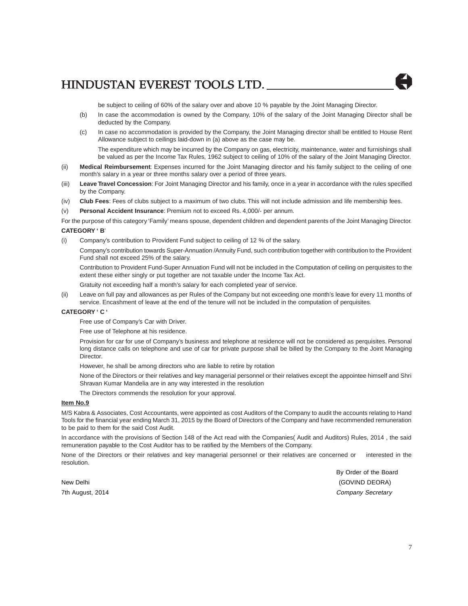be subject to ceiling of 60% of the salary over and above 10 % payable by the Joint Managing Director.

- (b) In case the accommodation is owned by the Company, 10% of the salary of the Joint Managing Director shall be deducted by the Company.
- (c) In case no accommodation is provided by the Company, the Joint Managing director shall be entitled to House Rent Allowance subject to ceilings laid-down in (a) above as the case may be. The expenditure which may be incurred by the Company on gas, electricity, maintenance, water and furnishings shall be valued as per the Income Tax Rules, 1962 subject to ceiling of 10% of the salary of the Joint Managing Director.
- (ii) **Medical Reimbursement**: Expenses incurred for the Joint Managing director and his family subject to the ceiling of one month's salary in a year or three months salary over a period of three years.
- (iii) **Leave Travel Concession**: For Joint Managing Director and his family, once in a year in accordance with the rules specified by the Company.
- (iv) **Club Fees**: Fees of clubs subject to a maximum of two clubs. This will not include admission and life membership fees.
- (v) **Personal Accident Insurance**: Premium not to exceed Rs. 4,000/- per annum.

For the purpose of this category 'Family' means spouse, dependent children and dependent parents of the Joint Managing Director. **CATEGORY ' B**'

(i) Company's contribution to Provident Fund subject to ceiling of 12 % of the salary.

Company's contribution towards Super-Annuation /Annuity Fund, such contribution together with contribution to the Provident Fund shall not exceed 25% of the salary.

Contribution to Provident Fund-Super Annuation Fund will not be included in the Computation of ceiling on perquisites to the extent these either singly or put together are not taxable under the Income Tax Act.

Gratuity not exceeding half a month's salary for each completed year of service.

Leave on full pay and allowances as per Rules of the Company but not exceeding one month's leave for every 11 months of service. Encashment of leave at the end of the tenure will not be included in the computation of perquisites.

### **CATEGORY ' C '**

Free use of Company's Car with Driver.

Free use of Telephone at his residence.

Provision for car for use of Company's business and telephone at residence will not be considered as perquisites. Personal long distance calls on telephone and use of car for private purpose shall be billed by the Company to the Joint Managing Director.

However, he shall be among directors who are liable to retire by rotation

None of the Directors or their relatives and key managerial personnel or their relatives except the appointee himself and Shri Shravan Kumar Mandelia are in any way interested in the resolution

The Directors commends the resolution for your approval.

### **Item No.9**

M/S Kabra & Associates, Cost Accountants, were appointed as cost Auditors of the Company to audit the accounts relating to Hand Tools for the financial year ending March 31, 2015 by the Board of Directors of the Company and have recommended remuneration to be paid to them for the said Cost Audit.

In accordance with the provisions of Section 148 of the Act read with the Companies( Audit and Auditors) Rules, 2014 , the said remuneration payable to the Cost Auditor has to be ratified by the Members of the Company.

None of the Directors or their relatives and key managerial personnel or their relatives are concerned or interested in the resolution.

By Order of the Board New Delhi (GOVIND DEORA) 7th August, 2014 **Company Secretary**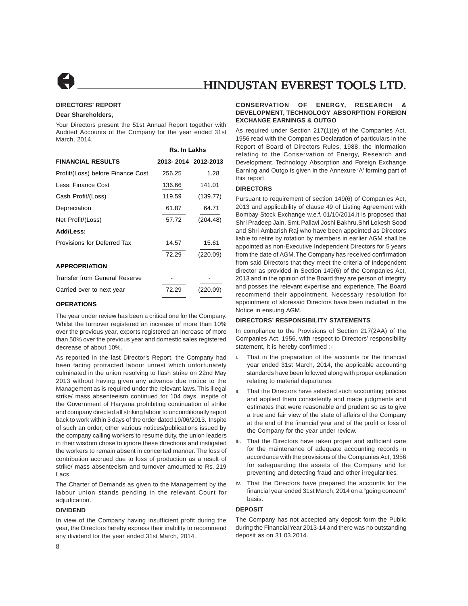

### **DIRECTORS' REPORT**

#### **Dear Shareholders,**

Your Directors present the 51st Annual Report together with Audited Accounts of the Company for the year ended 31st March, 2014.

 **Rs. In Lakhs**

|                                   | RS. III LANIIS      |          |  |
|-----------------------------------|---------------------|----------|--|
| <b>FINANCIAL RESULTS</b>          | 2013-2014 2012-2013 |          |  |
| Profit/(Loss) before Finance Cost | 256.25              | 1.28     |  |
| Less: Finance Cost                | 136.66              | 141.01   |  |
| Cash Profit/(Loss)                | 119.59              | (139.77) |  |
| Depreciation                      | 61.87               | 64.71    |  |
| Net Profit/(Loss)                 | 57.72               | (204.48) |  |
| Add/Less:                         |                     |          |  |
| Provisions for Deferred Tax       | 14.57               | 15.61    |  |
|                                   | 72.29               | (220.09) |  |
| <b>APPROPRIATION</b>              |                     |          |  |
| Transfer from General Reserve     |                     |          |  |
| Carried over to next year         | 72.29               | (220.09) |  |
|                                   |                     |          |  |

### **OPERATIONS**

The year under review has been a critical one for the Company. Whilst the turnover registered an increase of more than 10% over the previous year, exports registered an increase of more than 50% over the previous year and domestic sales registered decrease of about 10%.

As reported in the last Director's Report, the Company had been facing protracted labour unrest which unfortunately culminated in the union resolving to flash strike on 22nd May 2013 without having given any advance due notice to the Management as is required under the relevant laws. This illegal strike/ mass absenteeism continued for 104 days, inspite of the Government of Haryana prohibiting continuation of strike and company directed all striking labour to unconditionally report back to work within 3 days of the order dated 19/06/2013. Inspite of such an order, other various notices/publications issued by the company calling workers to resume duty, the union leaders in their wisdom chose to ignore these directions and instigated the workers to remain absent in concerted manner. The loss of contribution accrued due to loss of production as a result of strike/ mass absenteeism and turnover amounted to Rs. 219 Lacs.

The Charter of Demands as given to the Management by the labour union stands pending in the relevant Court for adjudication.

### **DIVIDEND**

In view of the Company having insufficient profit during the year, the Directors hereby express their inability to recommend any dividend for the year ended 31st March, 2014.

### **CONSERVATION OF ENERGY, RESEARCH & DEVELOPMENT, TECHNOLOGY ABSORPTION FOREIGN EXCHANGE EARNINGS & OUTGO**

As required under Section 217(1)(e) of the Companies Act, 1956 read with the Companies Declaration of particulars in the Report of Board of Directors Rules, 1988, the information relating to the Conservation of Energy, Research and Development. Technology Absorption and Foreign Exchange Earning and Outgo is given in the Annexure 'A' forming part of this report.

#### **DIRECTORS**

Pursuant to requirement of section 149(6) of Companies Act, 2013 and applicability of clause 49 of Listing Agreement with Bombay Stock Exchange w.e.f. 01/10/2014,it is proposed that Shri Pradeep Jain, Smt. Pallavi Joshi Bakhru,Shri Lokesh Sood and Shri Ambarish Raj who have been appointed as Directors liable to retire by rotation by members in earlier AGM shall be appointed as non-Executive Independent Directors for 5 years from the date of AGM. The Company has received confirmation from said Directors that they meet the criteria of Independent director as provided in Section 149(6) of the Companies Act, 2013 and in the opinion of the Board they are person of integrity and posses the relevant expertise and experience. The Board recommend their appointment. Necessary resolution for appointment of aforesaid Directors have been included in the Notice in ensuing AGM.

### **DIRECTORS' RESPONSIBILITY STATEMENTS**

In compliance to the Provisions of Section 217(2AA) of the Companies Act, 1956, with respect to Directors' responsibility statement, it is hereby confirmed :-

- i. That in the preparation of the accounts for the financial year ended 31st March, 2014, the applicable accounting standards have been followed along with proper explanation relating to material departures.
- ii. That the Directors have selected such accounting policies and applied them consistently and made judgments and estimates that were reasonable and prudent so as to give a true and fair view of the state of affairs of the Company at the end of the financial year and of the profit or loss of the Company for the year under review.
- iii. That the Directors have taken proper and sufficient care for the maintenance of adequate accounting records in accordance with the provisions of the Companies Act, 1956 for safeguarding the assets of the Company and for preventing and detecting fraud and other irregularities.
- iv. That the Directors have prepared the accounts for the financial year ended 31st March, 2014 on a "going concern" basis.

#### **DEPOSIT**

The Company has not accepted any deposit form the Public during the Financial Year 2013-14 and there was no outstanding deposit as on 31.03.2014.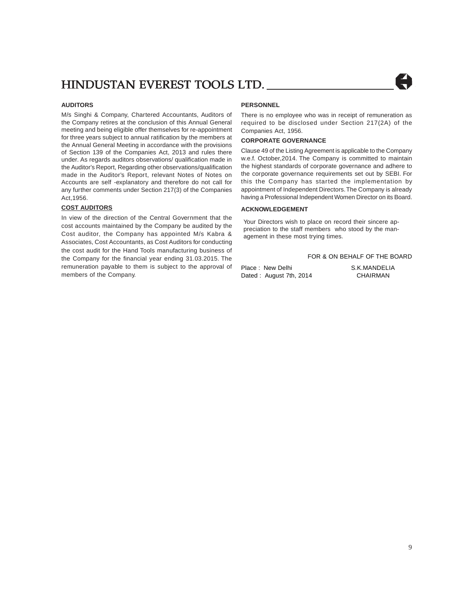### **AUDITORS**

M/s Singhi & Company, Chartered Accountants, Auditors of the Company retires at the conclusion of this Annual General meeting and being eligible offer themselves for re-appointment for three years subject to annual ratification by the members at the Annual General Meeting in accordance with the provisions of Section 139 of the Companies Act, 2013 and rules there under. As regards auditors observations/ qualification made in the Auditor's Report, Regarding other observations/qualification made in the Auditor's Report, relevant Notes of Notes on Accounts are self -explanatory and therefore do not call for any further comments under Section 217(3) of the Companies Act,1956.

### **COST AUDITORS**

In view of the direction of the Central Government that the cost accounts maintained by the Company be audited by the Cost auditor, the Company has appointed M/s Kabra & Associates, Cost Accountants, as Cost Auditors for conducting the cost audit for the Hand Tools manufacturing business of the Company for the financial year ending 31.03.2015. The remuneration payable to them is subject to the approval of members of the Company.

### **PERSONNEL**

There is no employee who was in receipt of remuneration as required to be disclosed under Section 217(2A) of the Companies Act, 1956.

### **CORPORATE GOVERNANCE**

Clause 49 of the Listing Agreement is applicable to the Company w.e.f. October,2014. The Company is committed to maintain the highest standards of corporate governance and adhere to the corporate governance requirements set out by SEBI. For this the Company has started the implementation by appointment of Independent Directors. The Company is already having a Professional Independent Women Director on its Board.

### **ACKNOWLEDGEMENT**

Your Directors wish to place on record their sincere appreciation to the staff members who stood by the management in these most trying times.

FOR & ON BEHALF OF THE BOARD Place : New Delhi S.K.MANDELIA Dated : August 7th, 2014 CHAIRMAN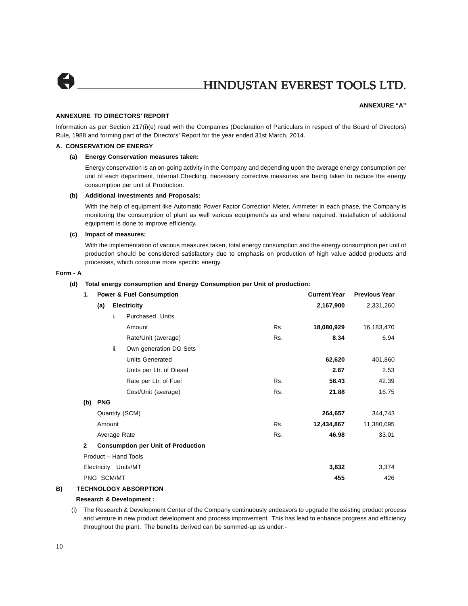

### **ANNEXURE "A"**

### **ANNEXURE TO DIRECTORS' REPORT**

Information as per Section 217(i)(e) read with the Companies (Declaration of Particulars in respect of the Board of Directors) Rule, 1988 and forming part of the Directors' Report for the year ended 31st March, 2014.

### **A. CONSERVATION OF ENERGY**

### **(a) Energy Conservation measures taken:**

Energy conservation is an on-going activity in the Company and depending upon the average energy consumption per unit of each department, Internal Checking, necessary corrective measures are being taken to reduce the energy consumption per unit of Production.

#### **(b) Additional Investments and Proposals:**

With the help of equipment like Automatic Power Factor Correction Meter, Ammeter in each phase, the Company is monitoring the consumption of plant as well various equipment's as and where required. Installation of additional equipment is done to improve efficiency.

### **(c) Impact of measures:**

With the implementation of various measures taken, total energy consumption and the energy consumption per unit of production should be considered satisfactory due to emphasis on production of high value added products and processes, which consume more specific energy.

#### **Form - A**

#### **(d) Total energy consumption and Energy Consumption per Unit of production:**

| 1.           |                           |              | <b>Power &amp; Fuel Consumption</b>       |           | <b>Current Year</b> | <b>Previous Year</b> |
|--------------|---------------------------|--------------|-------------------------------------------|-----------|---------------------|----------------------|
|              | <b>Electricity</b><br>(a) |              |                                           | 2,167,900 | 2,331,260           |                      |
|              |                           | i.           | <b>Purchased Units</b>                    |           |                     |                      |
|              |                           |              | Amount                                    | Rs.       | 18,080,929          | 16,183,470           |
|              |                           |              | Rate/Unit (average)                       | Rs.       | 8.34                | 6.94                 |
|              |                           | ii.          | Own generation DG Sets                    |           |                     |                      |
|              |                           |              | <b>Units Generated</b>                    |           | 62,620              | 401,860              |
|              |                           |              | Units per Ltr. of Diesel                  |           | 2.67                | 2.53                 |
|              |                           |              | Rate per Ltr. of Fuel                     | Rs.       | 58.43               | 42.39                |
|              |                           |              | Cost/Unit (average)                       | Rs.       | 21.88               | 16.75                |
| (b)          | <b>PNG</b>                |              |                                           |           |                     |                      |
|              |                           |              | Quantity (SCM)                            |           | 264,657             | 344,743              |
|              | Amount                    |              |                                           | Rs.       | 12,434,867          | 11,380,095           |
|              |                           | Average Rate |                                           | Rs.       | 46.98               | 33.01                |
| $\mathbf{2}$ |                           |              | <b>Consumption per Unit of Production</b> |           |                     |                      |
|              |                           |              | Product - Hand Tools                      |           |                     |                      |
|              |                           |              | Electricity Units/MT                      |           | 3,832               | 3,374                |
|              | PNG SCM/MT                |              |                                           |           | 455                 | 426                  |
|              |                           |              |                                           |           |                     |                      |

### **B) TECHNOLOGY ABSORPTION**

### **Research & Development :**

(i) The Research & Development Center of the Company continuously endeavors to upgrade the existing product process and venture in new product development and process improvement. This has lead to enhance progress and efficiency throughout the plant. The benefits derived can be summed-up as under:-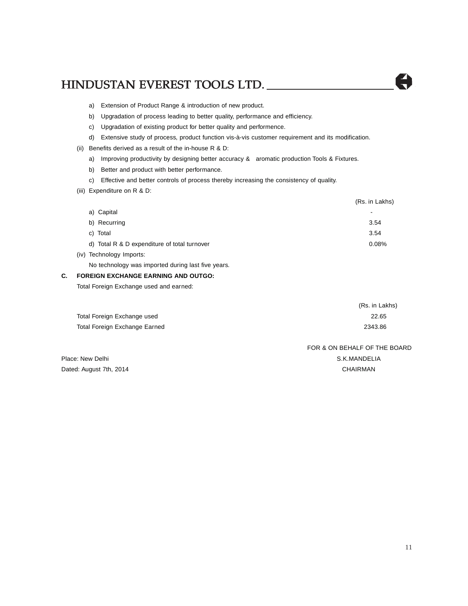- a) Extension of Product Range & introduction of new product.
- b) Upgradation of process leading to better quality, performance and efficiency.
- c) Upgradation of existing product for better quality and performence.
- d) Extensive study of process, product function vis-à-vis customer requirement and its modification.
- (ii) Benefits derived as a result of the in-house  $R$  &  $D$ :
	- a) Improving productivity by designing better accuracy & aromatic production Tools & Fixtures.
	- b) Better and product with better performance.
	- c) Effective and better controls of process thereby increasing the consistency of quality.
- (iii) Expenditure on R & D:

|                                              | (Rs. in Lakhs) |
|----------------------------------------------|----------------|
| a) Capital                                   |                |
| b) Recurring                                 | 3.54           |
| c) Total                                     | 3.54           |
| d) Total R & D expenditure of total turnover | 0.08%          |
| (iv) Technology Imports:                     |                |

No technology was imported during last five years.

### **C. FOREIGN EXCHANGE EARNING AND OUTGO:**

Total Foreign Exchange used and earned:

|                               | (Rs. in Lakhs) |
|-------------------------------|----------------|
| Total Foreign Exchange used   | 22.65          |
| Total Foreign Exchange Earned | 2343.86        |

FOR & ON BEHALF OF THE BOARD

Place: New Delhi S.K.MANDELIA Dated: August 7th, 2014 CHAIRMAN

H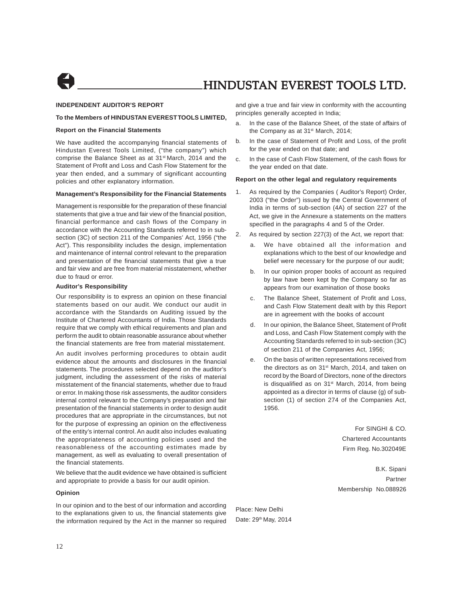

### **INDEPENDENT AUDITOR'S REPORT**

### **To the Members of HINDUSTAN EVEREST TOOLS LIMITED,**

### **Report on the Financial Statements**

We have audited the accompanying financial statements of Hindustan Everest Tools Limited, ("the company") which comprise the Balance Sheet as at 31<sup>st</sup> March, 2014 and the Statement of Profit and Loss and Cash Flow Statement for the year then ended, and a summary of significant accounting policies and other explanatory information.

#### **Management's Responsibility for the Financial Statements**

Management is responsible for the preparation of these financial statements that give a true and fair view of the financial position, financial performance and cash flows of the Company in accordance with the Accounting Standards referred to in subsection (3C) of section 211 of the Companies' Act, 1956 ("the Act"). This responsibility includes the design, implementation and maintenance of internal control relevant to the preparation and presentation of the financial statements that give a true and fair view and are free from material misstatement, whether due to fraud or error.

#### **Auditor's Responsibility**

Our responsibility is to express an opinion on these financial statements based on our audit. We conduct our audit in accordance with the Standards on Auditing issued by the Institute of Chartered Accountants of India. Those Standards require that we comply with ethical requirements and plan and perform the audit to obtain reasonable assurance about whether the financial statements are free from material misstatement.

An audit involves performing procedures to obtain audit evidence about the amounts and disclosures in the financial statements. The procedures selected depend on the auditor's judgment, including the assessment of the risks of material misstatement of the financial statements, whether due to fraud or error. In making those risk assessments, the auditor considers internal control relevant to the Company's preparation and fair presentation of the financial statements in order to design audit procedures that are appropriate in the circumstances, but not for the purpose of expressing an opinion on the effectiveness of the entity's internal control. An audit also includes evaluating the appropriateness of accounting policies used and the reasonableness of the accounting estimates made by management, as well as evaluating to overall presentation of the financial statements.

We believe that the audit evidence we have obtained is sufficient and appropriate to provide a basis for our audit opinion.

#### **Opinion**

In our opinion and to the best of our information and according to the explanations given to us, the financial statements give the information required by the Act in the manner so required and give a true and fair view in conformity with the accounting principles generally accepted in India;

- a. In the case of the Balance Sheet, of the state of affairs of the Company as at 31<sup>st</sup> March, 2014;
- b. In the case of Statement of Profit and Loss, of the profit for the year ended on that date; and
- c. In the case of Cash Flow Statement, of the cash flows for the year ended on that date.

#### **Report on the other legal and regulatory requirements**

- 1. As required by the Companies ( Auditor's Report) Order, 2003 ("the Order") issued by the Central Government of India in terms of sub-section (4A) of section 227 of the Act, we give in the Annexure a statements on the matters specified in the paragraphs 4 and 5 of the Order.
- 2. As required by section 227(3) of the Act, we report that:
	- a. We have obtained all the information and explanations which to the best of our knowledge and belief were necessary for the purpose of our audit;
	- b. In our opinion proper books of account as required by law have been kept by the Company so far as appears from our examination of those books
	- The Balance Sheet, Statement of Profit and Loss, and Cash Flow Statement dealt with by this Report are in agreement with the books of account
	- d. In our opinion, the Balance Sheet, Statement of Profit and Loss, and Cash Flow Statement comply with the Accounting Standards referred to in sub-section (3C) of section 211 of the Companies Act, 1956;
	- e. On the basis of written representations received from the directors as on 31<sup>st</sup> March, 2014, and taken on record by the Board of Directors, none of the directors is disqualified as on  $31<sup>st</sup>$  March, 2014, from being appointed as a director in terms of clause (g) of subsection (1) of section 274 of the Companies Act, 1956.

For SINGHI & CO. Chartered Accountants Firm Reg. No.302049E

B.K. Sipani Partner Membership No.088926

Place: New Delhi Date: 29<sup>th</sup> May, 2014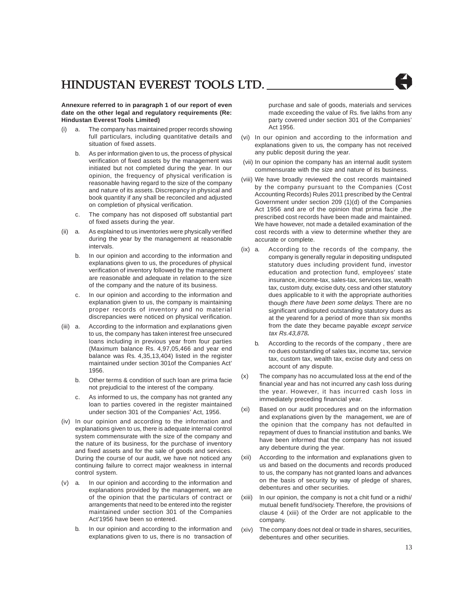**Annexure referred to in paragraph 1 of our report of even date on the other legal and regulatory requirements (Re: Hindustan Everest Tools Limited)**

- (i) a. The company has maintained proper records showing full particulars, including quantitative details and situation of fixed assets.
	- b. As per information given to us, the process of physical verification of fixed assets by the management was initiated but not completed during the year. In our opinion, the frequency of physical verification is reasonable having regard to the size of the company and nature of its assets. Discrepancy in physical and book quantity if any shall be reconciled and adjusted on completion of physical verification.
	- c. The company has not disposed off substantial part of fixed assets during the year.
- (ii) a. As explained to us inventories were physically verified during the year by the management at reasonable intervals.
	- b. In our opinion and according to the information and explanations given to us, the procedures of physical verification of inventory followed by the management are reasonable and adequate in relation to the size of the company and the nature of its business.
	- c. In our opinion and according to the information and explanation given to us, the company is maintaining proper records of inventory and no material discrepancies were noticed on physical verification.
- (iii) a. According to the information and explanations given to us, the company has taken interest free unsecured loans including in previous year from four parties (Maximum balance Rs. 4,97,05,466 and year end balance was Rs. 4,35,13,404) listed in the register maintained under section 301of the Companies Act' 1956.
	- b. Other terms & condition of such loan are prima facie not prejudicial to the interest of the company.
	- c. As informed to us, the company has not granted any loan to parties covered in the register maintained under section 301 of the Companies' Act, 1956.
- (iv) In our opinion and according to the information and explanations given to us, there is adequate internal control system commensurate with the size of the company and the nature of its business, for the purchase of inventory and fixed assets and for the sale of goods and services. During the course of our audit, we have not noticed any continuing failure to correct major weakness in internal control system.
- (v) a. In our opinion and according to the information and explanations provided by the management, we are of the opinion that the particulars of contract or arrangements that need to be entered into the register maintained under section 301 of the Companies Act'1956 have been so entered.
	- b. In our opinion and according to the information and explanations given to us, there is no transaction of

purchase and sale of goods, materials and services made exceeding the value of Rs. five lakhs from any party covered under section 301 of the Companies' Act 1956.

- (vi) In our opinion and according to the information and explanations given to us, the company has not received any public deposit during the year.
- (vii) In our opinion the company has an internal audit system commensurate with the size and nature of its business.
- (viii) We have broadly reviewed the cost records maintained by the company pursuant to the Companies (Cost Accounting Records) Rules 2011 prescribed by the Central Government under section 209 (1)(d) of the Companies Act 1956 and are of the opinion that prima facie ,the prescribed cost records have been made and maintained. We have however, not made a detailed examination of the cost records with a view to determine whether they are accurate or complete.
- (ix) a. According to the records of the company, the company is generally regular in depositing undisputed statutory dues including provident fund, investor education and protection fund, employees' state insurance, income-tax, sales-tax, services tax, wealth tax, custom duty, excise duty, cess and other statutory dues applicable to it with the appropriate authorities though there have been some delays. There are no significant undisputed outstanding statutory dues as at the yearend for a period of more than six months from the date they became payable except service tax Rs.43,878**.**
	- According to the records of the company, there are no dues outstanding of sales tax, income tax, service tax, custom tax, wealth tax, excise duty and cess on account of any dispute.
- (x) The company has no accumulated loss at the end of the financial year and has not incurred any cash loss during the year. However, it has incurred cash loss in immediately preceding financial year.
- (xi) Based on our audit procedures and on the information and explanations given by the management, we are of the opinion that the company has not defaulted in repayment of dues to financial institution and banks. We have been informed that the company has not issued any debenture during the year.
- (xii) According to the information and explanations given to us and based on the documents and records produced to us, the company has not granted loans and advances on the basis of security by way of pledge of shares, debentures and other securities.
- (xiii) In our opinion, the company is not a chit fund or a nidhi/ mutual benefit fund/society. Therefore, the provisions of clause 4 (xiii) of the Order are not applicable to the company.
- (xiv) The company does not deal or trade in shares, securities, debentures and other securities.

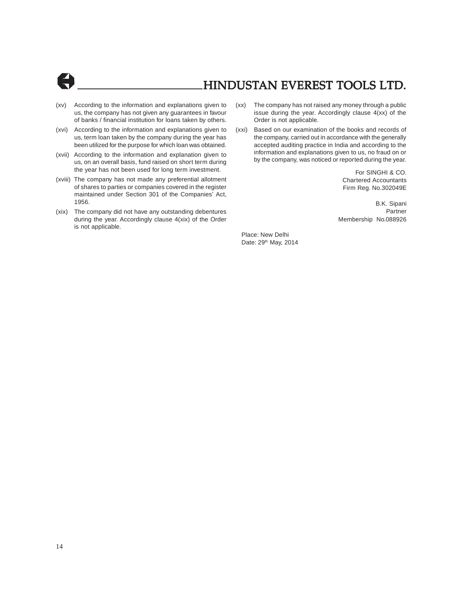

- (xv) According to the information and explanations given to us, the company has not given any guarantees in favour of banks / financial institution for loans taken by others.
- (xvi) According to the information and explanations given to us, term loan taken by the company during the year has been utilized for the purpose for which loan was obtained.
- (xvii) According to the information and explanation given to us, on an overall basis, fund raised on short term during the year has not been used for long term investment.
- (xviii) The company has not made any preferential allotment of shares to parties or companies covered in the register maintained under Section 301 of the Companies' Act, 1956.
- (xix) The company did not have any outstanding debentures during the year. Accordingly clause 4(xix) of the Order is not applicable.
- (xx) The company has not raised any money through a public issue during the year. Accordingly clause 4(xx) of the Order is not applicable.
- (xxi) Based on our examination of the books and records of the company, carried out in accordance with the generally accepted auditing practice in India and according to the information and explanations given to us, no fraud on or by the company, was noticed or reported during the year.

For SINGHI & CO. Chartered Accountants Firm Reg. No.302049E

B.K. Sipani Partner Membership No.088926

Place: New Delhi Date: 29<sup>th</sup> May, 2014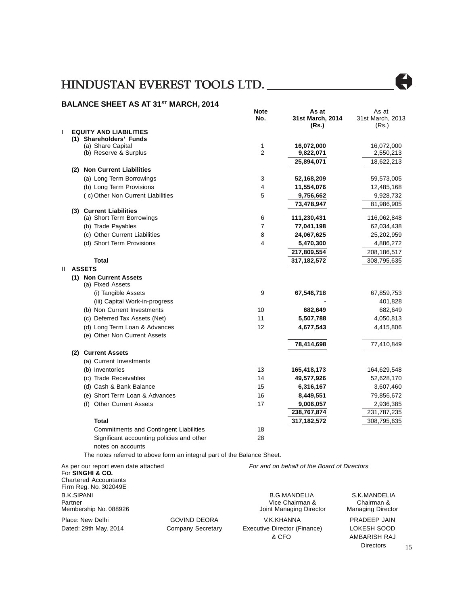### **BALANCE SHEET AS AT 31ST MARCH, 2014**

|    |                                                                         | Note<br>No.    | As at<br>31st March, 2014                   | As at<br>31st March, 2013 |
|----|-------------------------------------------------------------------------|----------------|---------------------------------------------|---------------------------|
| ı  | <b>EQUITY AND LIABILITIES</b>                                           |                | (Rs.)                                       | (Rs.)                     |
|    | (1) Shareholders' Funds                                                 |                |                                             |                           |
|    | (a) Share Capital                                                       | 1              | 16,072,000                                  | 16,072,000                |
|    | (b) Reserve & Surplus                                                   | $\overline{2}$ | 9,822,071                                   | 2,550,213                 |
|    |                                                                         |                | 25,894,071                                  | 18,622,213                |
|    | (2) Non Current Liabilities                                             |                |                                             |                           |
|    | (a) Long Term Borrowings                                                | 3<br>4         | 52,168,209                                  | 59,573,005                |
|    | (b) Long Term Provisions                                                | 5              | 11,554,076                                  | 12,485,168                |
|    | (c) Other Non Current Liabilities                                       |                | 9,756,662                                   | 9,928,732                 |
|    | (3) Current Liabilities                                                 |                | 73,478,947                                  | 81,986,905                |
|    | (a) Short Term Borrowings                                               | 6              | 111,230,431                                 | 116,062,848               |
|    | (b) Trade Payables                                                      | 7              | 77,041,198                                  | 62,034,438                |
|    | (c) Other Current Liabilities                                           | 8              | 24,067,625                                  | 25,202,959                |
|    | (d) Short Term Provisions                                               | 4              | 5,470,300                                   | 4,886,272                 |
|    |                                                                         |                | 217,809,554                                 | 208,186,517               |
|    | <b>Total</b>                                                            |                | 317,182,572                                 | 308,795,635               |
| н. | <b>ASSETS</b>                                                           |                |                                             |                           |
|    | (1) Non Current Assets                                                  |                |                                             |                           |
|    | (a) Fixed Assets                                                        |                |                                             |                           |
|    | (i) Tangible Assets                                                     | 9              | 67,546,718                                  | 67,859,753                |
|    | (iii) Capital Work-in-progress                                          |                |                                             | 401,828                   |
|    | (b) Non Current Investments                                             | 10             | 682,649                                     | 682,649                   |
|    | (c) Deferred Tax Assets (Net)                                           | 11             | 5,507,788                                   | 4,050,813                 |
|    | (d) Long Term Loan & Advances                                           | 12             | 4,677,543                                   | 4,415,806                 |
|    | (e) Other Non Current Assets                                            |                |                                             |                           |
|    |                                                                         |                | 78,414,698                                  | 77,410,849                |
|    | (2) Current Assets                                                      |                |                                             |                           |
|    | (a) Current Investments                                                 |                |                                             |                           |
|    | (b) Inventories                                                         | 13             | 165,418,173                                 | 164,629,548               |
|    | (c) Trade Receivables                                                   | 14             | 49,577,926                                  | 52,628,170                |
|    | (d) Cash & Bank Balance                                                 | 15             | 6,316,167                                   | 3,607,460                 |
|    | (e) Short Term Loan & Advances                                          | 16             | 8,449,551                                   | 79,856,672                |
|    | (f) Other Current Assets                                                | 17             | 9,006,057                                   | 2,936,385                 |
|    |                                                                         |                | 238,767,874                                 | 231,787,235               |
|    | <b>Total</b>                                                            |                | 317,182,572                                 | 308,795,635               |
|    | <b>Commitments and Contingent Liabilities</b>                           | 18             |                                             |                           |
|    | Significant accounting policies and other                               | 28             |                                             |                           |
|    | notes on accounts                                                       |                |                                             |                           |
|    | The notes referred to above form an integral part of the Balance Sheet. |                |                                             |                           |
|    | As per our report even date attached<br>For SINGHI & CO.                |                | For and on behalf of the Board of Directors |                           |
|    | <b>Chartered Accountants</b>                                            |                |                                             |                           |
|    | Firm Rea. No. 302049F                                                   |                |                                             |                           |

Firm Reg. No. 302049E B.K.SIPANI B.G.MANDELIA S.K.MANDELIA Partner Wice Chairman & Chairman & Chairman & Chairman & Chairman & Chairman & Chairman & Chairman & Chairman & Chairman & Chairman & Chairman & Chairman & Chairman & Chairman & Chairman & Chairman & Chairman & Chairman & Joint Managing Director Place: New Delhi GOVIND DEORA V.K.KHANNA PRADEEP JAIN Dated: 29th May, 2014 Company Secretary Executive Director (Finance) LOKESH SOOD & CFO AMBARISH RAJ

 $\overline{\phantom{a}}$ 

Directors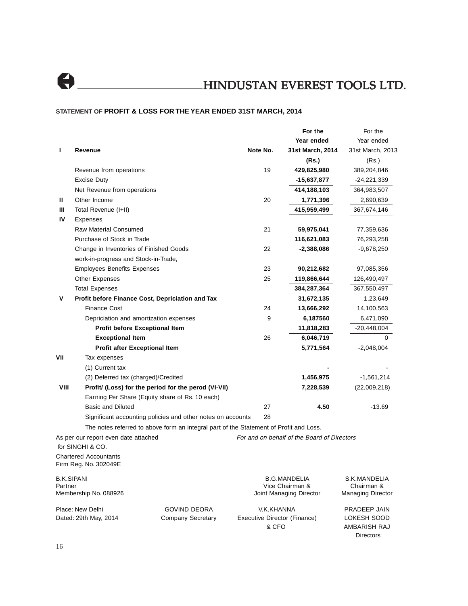

### **STATEMENT OF PROFIT & LOSS FOR THE YEAR ENDED 31ST MARCH, 2014**

|         |                                                                                        |                     |                                       | For the                                     | For the                     |
|---------|----------------------------------------------------------------------------------------|---------------------|---------------------------------------|---------------------------------------------|-----------------------------|
|         |                                                                                        |                     |                                       | Year ended                                  | Year ended                  |
| L       | Revenue                                                                                |                     | Note No.                              | 31st March, 2014                            | 31st March, 2013            |
|         |                                                                                        |                     |                                       | (Rs.)                                       | (Rs.)                       |
|         | Revenue from operations                                                                |                     | 19                                    | 429,825,980                                 | 389,204,846                 |
|         | Excise Duty                                                                            |                     |                                       | -15,637,877                                 | -24,221,339                 |
|         | Net Revenue from operations                                                            |                     |                                       | 414,188,103                                 | 364,983,507                 |
| Ш       | Other Income                                                                           |                     | 20                                    | 1,771,396                                   | 2,690,639                   |
| Ш       | Total Revenue (I+II)                                                                   |                     |                                       | 415,959,499                                 | 367,674,146                 |
| IV      | Expenses                                                                               |                     |                                       |                                             |                             |
|         | <b>Raw Material Consumed</b>                                                           |                     | 21                                    | 59,975,041                                  | 77,359,636                  |
|         | Purchase of Stock in Trade                                                             |                     |                                       | 116,621,083                                 | 76,293,258                  |
|         | Change in Inventories of Finished Goods                                                |                     | 22                                    | -2,388,086                                  | -9,678,250                  |
|         | work-in-progress and Stock-in-Trade,                                                   |                     |                                       |                                             |                             |
|         | <b>Employees Benefits Expenses</b>                                                     |                     | 23                                    | 90,212,682                                  | 97,085,356                  |
|         | <b>Other Expenses</b>                                                                  |                     | 25                                    | 119,866,644                                 | 126,490,497                 |
|         | <b>Total Expenses</b>                                                                  |                     |                                       | 384,287,364                                 | 367,550,497                 |
| v       | Profit before Finance Cost, Depriciation and Tax                                       |                     |                                       | 31,672,135                                  | 1,23,649                    |
|         | Finance Cost                                                                           |                     | 24                                    | 13,666,292                                  | 14,100,563                  |
|         | Depriciation and amortization expenses                                                 |                     | 9                                     | 6,187560                                    | 6,471,090                   |
|         | Profit before Exceptional Item                                                         |                     |                                       | 11,818,283                                  | $-20,448,004$               |
|         | <b>Exceptional Item</b>                                                                |                     | 26                                    | 6,046,719                                   | 0                           |
|         | Profit after Exceptional Item                                                          |                     |                                       | 5,771,564                                   | $-2,048,004$                |
| VII     | Tax expenses                                                                           |                     |                                       |                                             |                             |
|         | (1) Current tax                                                                        |                     |                                       |                                             |                             |
|         | (2) Deferred tax (charged)/Credited                                                    |                     |                                       | 1,456,975                                   | $-1,561,214$                |
| VIII    | Profit/ (Loss) for the period for the perod (VI-VII)                                   |                     |                                       | 7,228,539                                   | (22,009,218)                |
|         | Earning Per Share (Equity share of Rs. 10 each)                                        |                     |                                       |                                             |                             |
|         | <b>Basic and Diluted</b>                                                               |                     | 27                                    | 4.50                                        | $-13.69$                    |
|         | Significant accounting policies and other notes on accounts                            |                     | 28                                    |                                             |                             |
|         | The notes referred to above form an integral part of the Statement of Profit and Loss. |                     |                                       |                                             |                             |
|         | As per our report even date attached                                                   |                     |                                       | For and on behalf of the Board of Directors |                             |
|         | for SINGHI & CO.                                                                       |                     |                                       |                                             |                             |
|         | <b>Chartered Accountants</b><br>Firm Reg. No. 302049E                                  |                     |                                       |                                             |                             |
| Partner | <b>B.K.SIPANI</b>                                                                      |                     |                                       | <b>B.G.MANDELIA</b><br>Vice Chairman &      | S.K.MANDELIA<br>Chairman &  |
|         | Membership No. 088926                                                                  |                     |                                       | Joint Managing Director                     | <b>Managing Director</b>    |
|         | Place: New Delhi                                                                       | <b>GOVIND DEORA</b> | V.K.KHANNA                            |                                             | PRADEEP JAIN                |
|         | Dated: 29th May, 2014                                                                  | Company Secretary   | Executive Director (Finance)<br>& CFO |                                             | LOKESH SOOD<br>AMBARISH RAJ |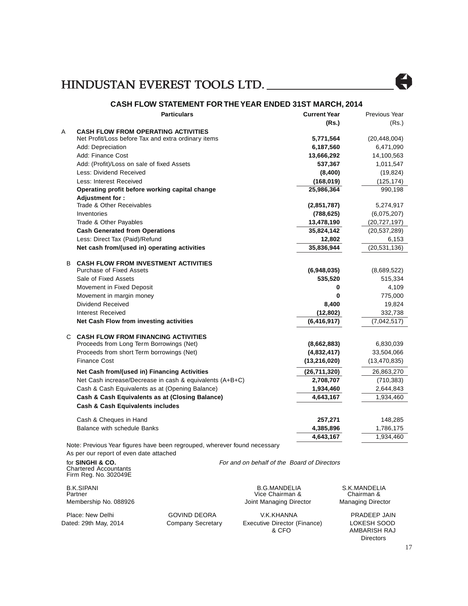

### **CASH FLOW STATEMENT FOR THE YEAR ENDED 31ST MARCH, 2014**

|    | <b>Particulars</b>                                                       | <b>Current Year</b> | Previous Year  |
|----|--------------------------------------------------------------------------|---------------------|----------------|
|    |                                                                          | (Rs.)               | (Rs.)          |
| Α  | <b>CASH FLOW FROM OPERATING ACTIVITIES</b>                               |                     |                |
|    | Net Profit/Loss before Tax and extra ordinary items                      | 5,771,564           | (20, 448, 004) |
|    | Add: Depreciation                                                        | 6,187,560           | 6,471,090      |
|    | Add: Finance Cost                                                        | 13,666,292          | 14,100,563     |
|    | Add: (Profit)/Loss on sale of fixed Assets                               | 537,367             | 1,011,547      |
|    | Less: Dividend Received                                                  | (8,400)             | (19, 824)      |
|    | Less: Interest Received                                                  | (168, 019)          | (125, 174)     |
|    | Operating profit before working capital change                           | 25,986,364          | 990,198        |
|    | Adjustment for:                                                          |                     |                |
|    | Trade & Other Receivables                                                | (2,851,787)         | 5,274,917      |
|    | Inventories                                                              | (788, 625)          | (6,075,207)    |
|    | Trade & Other Payables                                                   | 13,478,190          | (20, 727, 197) |
|    | <b>Cash Generated from Operations</b>                                    | 35,824,142          | (20, 537, 289) |
|    | Less: Direct Tax (Paid)/Refund                                           | 12,802              | 6,153          |
|    | Net cash from/(used in) operating activities                             | 35,836,944          | (20, 531, 136) |
| B. | <b>CASH FLOW FROM INVESTMENT ACTIVITIES</b>                              |                     |                |
|    | <b>Purchase of Fixed Assets</b>                                          | (6,948,035)         | (8,689,522)    |
|    | Sale of Fixed Assets                                                     | 535,520             | 515,334        |
|    | Movement in Fixed Deposit                                                | 0                   | 4,109          |
|    | Movement in margin money                                                 | 0                   | 775,000        |
|    | Dividend Received                                                        | 8,400               | 19,824         |
|    | Interest Received                                                        | (12, 802)           | 332,738        |
|    | Net Cash Flow from investing activities                                  | (6, 416, 917)       | (7,042,517)    |
|    | <b>C CASH FLOW FROM FINANCING ACTIVITIES</b>                             |                     |                |
|    | Proceeds from Long Term Borrowings (Net)                                 | (8,662,883)         | 6,830,039      |
|    | Proceeds from short Term borrowings (Net)                                | (4,832,417)         | 33,504,066     |
|    | <b>Finance Cost</b>                                                      | (13, 216, 020)      | (13, 470, 835) |
|    | Net Cash from/(used in) Financing Activities                             | (26, 711, 320)      | 26,863,270     |
|    | Net Cash increase/Decrease in cash & equivalents (A+B+C)                 | 2,708,707           | (710, 383)     |
|    | Cash & Cash Equivalents as at (Opening Balance)                          | 1,934,460           | 2,644,843      |
|    | Cash & Cash Equivalents as at (Closing Balance)                          | 4,643,167           | 1,934,460      |
|    | <b>Cash &amp; Cash Equivalents includes</b>                              |                     |                |
|    | Cash & Cheques in Hand                                                   | 257,271             | 148,285        |
|    | <b>Balance with schedule Banks</b>                                       | 4,385,896           | 1,786,175      |
|    |                                                                          | 4,643,167           | 1,934,460      |
|    | Note: Previous Year figures have been regrouped wherever found peressary |                     |                |

Note: Previous Year figures have been regrouped, wherever found necessary As per our report of even date attached

Chartered Accountants Firm Reg. No. 302049E

B.K.SIPANI B.G.MANDELIA S.K.MANDELIA Partner Chairman & Chairman & Chairman & Chairman & Chairman & Chairman & Chairman & Chairman & Chairman & Chairman & Chairman & Chairman & Chairman & Chairman & Chairman & Chairman & Chairman & Chairman & Chairman & Chair

For and on behalf of the Board of Directors

Joint Managing Director

Place: New Delhi GOVIND DEORA V.K.KHANNA PRADEEP JAIN Dated: 29th May, 2014 Company Secretary Executive Director (Finance) LOKESH SOOD<br>& CFO AMBARISH RAJ

AMBARISH RAJ Directors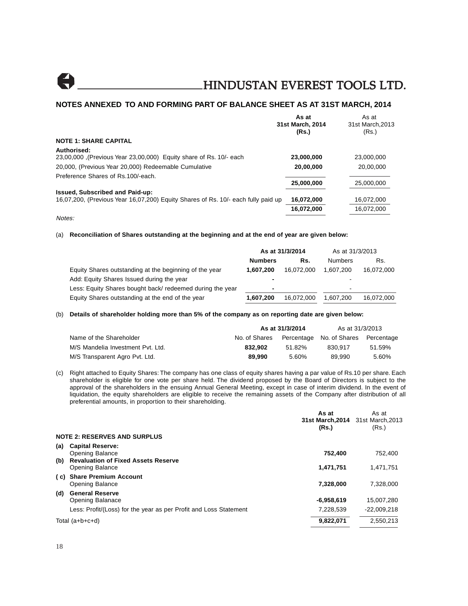

### **NOTES ANNEXED TO AND FORMING PART OF BALANCE SHEET AS AT 31ST MARCH, 2014**

|                                                                                   | As at            | As at           |
|-----------------------------------------------------------------------------------|------------------|-----------------|
|                                                                                   | 31st March, 2014 | 31st March.2013 |
|                                                                                   | (Rs.)            | (Rs.)           |
| <b>NOTE 1: SHARE CAPITAL</b>                                                      |                  |                 |
| Authorised:                                                                       |                  |                 |
| 23,00,000 (Previous Year 23,00,000) Equity share of Rs. 10/- each                 | 23,000,000       | 23,000,000      |
| 20,000, (Previous Year 20,000) Redeemable Cumulative                              | 20,00,000        | 20,00,000       |
| Preference Shares of Rs.100/-each.                                                |                  |                 |
|                                                                                   | 25,000,000       | 25,000,000      |
| Issued, Subscribed and Paid-up:                                                   |                  |                 |
| 16,07,200, (Previous Year 16,07,200) Equity Shares of Rs. 10/- each fully paid up | 16,072,000       | 16.072.000      |
|                                                                                   | 16,072,000       | 16,072,000      |
| Notes:                                                                            |                  |                 |

### (a) **Reconciliation of Shares outstanding at the beginning and at the end of year are given below:**

|                                                           | As at 31/3/2014          |            | As at 31/3/2013          |            |
|-----------------------------------------------------------|--------------------------|------------|--------------------------|------------|
|                                                           | <b>Numbers</b>           | Rs.        | <b>Numbers</b>           | Rs.        |
| Equity Shares outstanding at the beginning of the year    | 1.607.200                | 16,072,000 | 1.607.200                | 16,072,000 |
| Add: Equity Shares Issued during the year                 | $\overline{\phantom{0}}$ |            | $\overline{\phantom{a}}$ |            |
| Less: Equity Shares bought back/ redeemed during the year | $\blacksquare$           |            | -                        |            |
| Equity Shares outstanding at the end of the year          | 1,607,200                | 16.072.000 | 1.607.200                | 16,072,000 |

### (b) **Details of shareholder holding more than 5% of the company as on reporting date are given below:**

|                                   | As at 31/3/2014 |        | As at 31/3/2013                     |        |
|-----------------------------------|-----------------|--------|-------------------------------------|--------|
| Name of the Shareholder           | No. of Shares   |        | Percentage No. of Shares Percentage |        |
| M/S Mandelia Investment Pyt. Ltd. | 832.902         | 51.82% | 830.917                             | 51.59% |
| M/S Transparent Agro Pvt. Ltd.    | 89.990          | 5.60%  | 89.990                              | 5.60%  |

(c) Right attached to Equity Shares: The company has one class of equity shares having a par value of Rs.10 per share. Each shareholder is eligible for one vote per share held. The dividend proposed by the Board of Directors is subject to the approval of the shareholders in the ensuing Annual General Meeting, except in case of interim dividend. In the event of liquidation, the equity shareholders are eligible to receive the remaining assets of the Company after distribution of all preferential amounts, in proportion to their shareholding.

|                                                                             | As at<br>31st March, 2014 31st March, 2013<br>(Rs.) | As at<br>(Rs.) |
|-----------------------------------------------------------------------------|-----------------------------------------------------|----------------|
| <b>NOTE 2: RESERVES AND SURPLUS</b>                                         |                                                     |                |
| <b>Capital Reserve:</b><br>(a)<br><b>Opening Balance</b>                    | 752.400                                             | 752.400        |
| <b>Revaluation of Fixed Assets Reserve</b><br>(b)<br><b>Opening Balance</b> | 1,471,751                                           | 1.471.751      |
| <b>Share Premium Account</b><br>( c)<br><b>Opening Balance</b>              | 7,328,000                                           | 7.328.000      |
| <b>General Reserve</b><br>(d)<br>Opening Balanace                           | $-6,958,619$                                        | 15,007,280     |
| Less: Profit/(Loss) for the year as per Profit and Loss Statement           | 7,228,539                                           | $-22.009.218$  |
| Total (a+b+c+d)                                                             | 9,822,071                                           | 2.550.213      |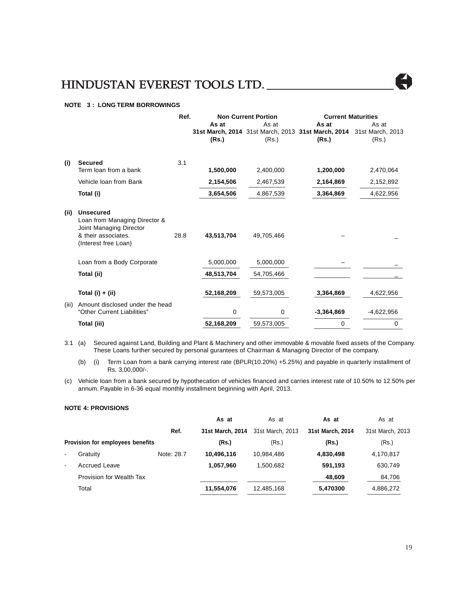### **NOTE 3 : LONG TERM BORROWINGS**

|       |                                                                                                                             | Ref.<br><b>Non Current Portion</b> |                | <b>Current Maturities</b> |                                                                                       |                |
|-------|-----------------------------------------------------------------------------------------------------------------------------|------------------------------------|----------------|---------------------------|---------------------------------------------------------------------------------------|----------------|
|       |                                                                                                                             |                                    | As at<br>(Rs.) | As at<br>(Rs.)            | As at<br>31st March, 2014 31st March, 2013 31st March, 2014 31st March, 2013<br>(Rs.) | As at<br>(Rs.) |
| (i)   | <b>Secured</b>                                                                                                              | 3.1                                |                |                           |                                                                                       |                |
|       | Term loan from a bank                                                                                                       |                                    | 1,500,000      | 2,400,000                 | 1,200,000                                                                             | 2,470,064      |
|       | Vehicle loan from Bank                                                                                                      |                                    | 2,154,506      | 2,467,539                 | 2,164,869                                                                             | 2,152,892      |
|       | Total (i)                                                                                                                   |                                    | 3,654,506      | 4,867,539                 | 3,364,869                                                                             | 4,622,956      |
| (ii)  | <b>Unsecured</b><br>Loan from Managing Director &<br>Joint Managing Director<br>& their associates.<br>(Interest free Loan) | 28.8                               | 43,513,704     | 49,705,466                |                                                                                       |                |
|       | Loan from a Body Corporate                                                                                                  |                                    | 5,000,000      | 5,000,000                 |                                                                                       |                |
|       | Total (ii)                                                                                                                  |                                    | 48,513,704     | 54,705,466                |                                                                                       |                |
|       | Total (i) $+$ (ii)                                                                                                          |                                    | 52,168,209     | 59,573,005                | 3,364,869                                                                             | 4,622,956      |
| (iii) | Amount disclosed under the head<br>"Other Current Liabilities"                                                              |                                    | 0              | 0                         | $-3,364,869$                                                                          | $-4,622,956$   |
|       | Total (iii)                                                                                                                 |                                    | 52,168,209     | 59,573,005                | 0                                                                                     | 0              |

3.1 (a) Secured against Land, Building and Plant & Machinery and other immovable & movable fixed assets of the Company. These Loans further secured by personal gurantees of Chairman & Managing Director of the company.

(b) (i) Term Loan from a bank carrying interest rate (BPLR(10.20%) +5.25%) and payable in quarterly installment of Rs. 3,00,000/-.

(c) Vehicle loan from a bank secured by hypothecation of vehicles financed and carries interest rate of 10.50% to 12.50% per annum. Payable in 6-36 equal monthly installment beginning with April, 2013.

### **NOTE 4: PROVISIONS**

|                |                                  |            | As at            | As at            | As at            | As at            |
|----------------|----------------------------------|------------|------------------|------------------|------------------|------------------|
|                |                                  | Ref.       | 31st March, 2014 | 31st March, 2013 | 31st March, 2014 | 31st March, 2013 |
|                | Provision for employees benefits |            | (Rs.)            | (Rs.)            | (Rs.)            | (Rs.)            |
| $\blacksquare$ | Gratuity                         | Note: 28.7 | 10,496,116       | 10,984,486       | 4,830,498        | 4,170,817        |
| $\blacksquare$ | <b>Accrued Leave</b>             |            | 1,057,960        | 1.500.682        | 591,193          | 630,749          |
|                | Provision for Wealth Tax         |            |                  |                  | 48,609           | 84,706           |
|                | Total                            |            | 11,554,076       | 12,485,168       | 5,470300         | 4,886,272        |
|                |                                  |            |                  |                  |                  |                  |



Å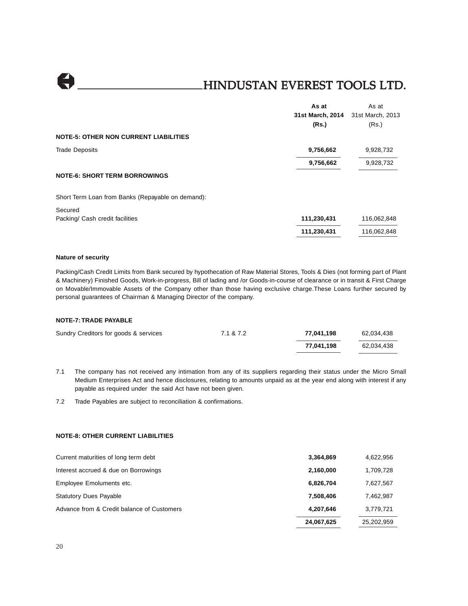$\bullet$ 

### HINDUSTAN EVEREST TOOLS LTD.

|                                                   | As at            | As at            |
|---------------------------------------------------|------------------|------------------|
|                                                   | 31st March, 2014 | 31st March, 2013 |
|                                                   | (Rs.)            | (Rs.)            |
| <b>NOTE-5: OTHER NON CURRENT LIABILITIES</b>      |                  |                  |
| <b>Trade Deposits</b>                             | 9,756,662        | 9,928,732        |
|                                                   | 9,756,662        | 9,928,732        |
| <b>NOTE-6: SHORT TERM BORROWINGS</b>              |                  |                  |
| Short Term Loan from Banks (Repayable on demand): |                  |                  |
| Secured                                           |                  |                  |
| Packing/ Cash credit facilities                   | 111,230,431      | 116,062,848      |
|                                                   | 111,230,431      | 116,062,848      |
|                                                   |                  |                  |

### **Nature of security**

Packing/Cash Credit Limits from Bank secured by hypothecation of Raw Material Stores, Tools & Dies (not forming part of Plant & Machinery) Finished Goods, Work-in-progress, Bill of lading and /or Goods-in-course of clearance or in transit & First Charge on Movable/Immovable Assets of the Company other than those having exclusive charge.These Loans further secured by personal guarantees of Chairman & Managing Director of the company.

### **NOTE-7:TRADE PAYABLE**

| Sundry Creditors for goods & services | 7.1 & 7.2 | 77.041.198 | 62.034.438 |
|---------------------------------------|-----------|------------|------------|
|                                       |           | 77.041.198 | 62.034.438 |

7.1 The company has not received any intimation from any of its suppliers regarding their status under the Micro Small Medium Enterprises Act and hence disclosures, relating to amounts unpaid as at the year end along with interest if any payable as required under the said Act have not been given.

7.2 Trade Payables are subject to reconciliation & confirmations.

### **NOTE-8: OTHER CURRENT LIABILITIES**

|                                            | 24,067,625 | 25,202,959 |
|--------------------------------------------|------------|------------|
| Advance from & Credit balance of Customers | 4,207,646  | 3,779,721  |
| <b>Statutory Dues Payable</b>              | 7,508,406  | 7,462,987  |
| Employee Emoluments etc.                   | 6,826,704  | 7,627,567  |
| Interest accrued & due on Borrowings       | 2,160,000  | 1,709,728  |
| Current maturities of long term debt       | 3,364,869  | 4,622,956  |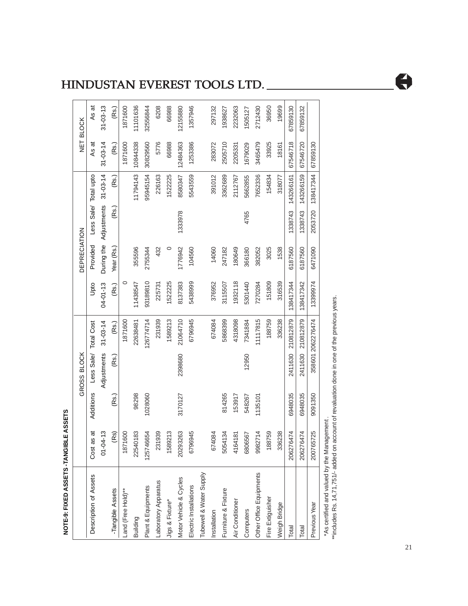| <b>NOTE-9: FIXED ASSETS -TANGIBLE</b> |                               | E ASSETS  | GROSS BLOCK           |                   |                | <b>DEPRECIATION</b> |                        |                |                | NET BLOCK      |
|---------------------------------------|-------------------------------|-----------|-----------------------|-------------------|----------------|---------------------|------------------------|----------------|----------------|----------------|
| Description of Assets                 | ಕ<br>Cost as                  | Additions | Less Sale/ Total Cost |                   | Upto           | Provided            | Less Sale/ Total upto  |                | As at          | As at          |
|                                       | ო<br>$01 - 04 -$              |           | Adjustments           | $31 - 03 - 14$    | $04 - 01 - 13$ |                     | During the Adjustments | $31 - 03 - 14$ | $31 - 03 - 14$ | $31 - 03 - 13$ |
| -Tangible Assets                      | $\widehat{\mathfrak{G}}$<br>E | (Rs.)     | (Rs.)                 | (Rs.)             | (Rs.)          | Year (Rs.           | (Rs.)                  | (Rs.)          | (Rs.)          | (Rs.)          |
| Land (Free Hold)**                    | 1871600                       |           |                       | 1871600           | 0              |                     |                        |                | 1871600        | 1871600        |
| Building                              | 22540183                      | 98298     |                       | 22638481          | 1438547        | 355596              |                        | 11794143       | 10844338       | 11101636       |
| Plant & Equipments                    | 125746654                     | 1028060   |                       | 126774714         | 93189810       | 2755344             |                        | 95945154       | 30829560       | 32556844       |
| aboratory Apparatus                   | 231939                        |           |                       | 231939            | 225731         | 432                 |                        | 226163         | 5776           | 6208           |
| Jigs & Fixture*                       | 1589213                       |           |                       | 1589213           | 1522225        | $\circ$             |                        | 1522225        | 66988          | 66988          |
| Motor Vehicle & Cycles                | 20293263                      | 3170127   | 2398680               | 21064710          | 8137383        | 1776942             | 1333978                | 8580347        | 12484363       | 12155880       |
| Electric Installations                | 6796945                       |           |                       | 6796945           | 5438999        | 104560              |                        | 5543559        | 1253386        | 1357946        |
| Tubewell & Water Supply               |                               |           |                       |                   |                |                     |                        |                |                |                |
| nstallation                           | 674084                        |           |                       | 674084            | 376952         | 14060               |                        | 391012         | 283072         | 297132         |
| Furniture & Fixture                   | 5054134                       | 814265    |                       | 5868399           | 3115507        | 247182              |                        | 3362689        | 2505710        | 1938627        |
| Air Conditioner                       | 4164181                       | 153917    |                       | 4318098           | 1932118        | 180649              |                        | 2112767        | 2205331        | 2232063        |
| Computers                             | 6806567                       | 548267    | 12950                 | 7341884           | 5301440        | 366180              | 4765                   | 5662855        | 1679029        | 1505127        |
| Other Office Equipments               | 9982714                       | 1135101   |                       | 11117815          | 7270284        | 382052              |                        | 7652336        | 3465479        | 2712430        |
| Fire Extiguisher                      | S9<br>1887                    |           |                       | 188759            | 151809         | 3025                |                        | 154834         | 33925          | 36950          |
| Weigh Bridge                          | 336238                        |           |                       | 336238            | 316539         | 1538                |                        | 318077         | 18161          | 19699          |
| Total                                 | 206276474                     | 6948035   | 2411630               | 210812879         | 138417344      | 6187560             | 1338743                | 143266161      | 67546718       | 67859130       |
| Total                                 | 206276474                     | 6948035   | 2411630               | 210812879         | 138417342      | 6187560             | 1338743                | 143266159      | 67546720       | 67859132       |
| Previous Year                         | 25<br>2007657                 | 9091350   |                       | 358601 2062276474 | 13399974       | 6471090             | 2053720                | 138417344      | 67859130       |                |
|                                       |                               |           |                       |                   |                |                     |                        |                |                |                |

\*As certified and valued by the Management .

\*As certified and valued by the Management .<br>\*\*includes Rs. 14,71,751/- added on account of revaluation done in one of the previous years. \*\*includes Rs. 14,71,751/- added on account of revaluation done in one of the previous years.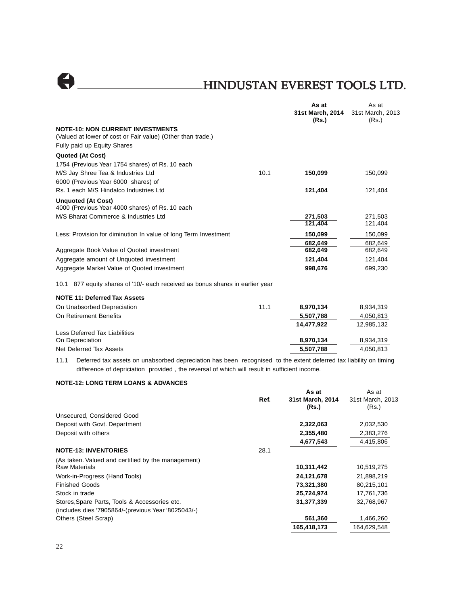|                                                                                                                           |      | As at<br>31st March, 2014 | As at<br>31st March, 2013 |
|---------------------------------------------------------------------------------------------------------------------------|------|---------------------------|---------------------------|
| <b>NOTE-10: NON CURRENT INVESTMENTS</b>                                                                                   |      | (Rs.)                     | (Rs.)                     |
| (Valued at lower of cost or Fair value) (Other than trade.)                                                               |      |                           |                           |
| Fully paid up Equity Shares                                                                                               |      |                           |                           |
| <b>Quoted (At Cost)</b>                                                                                                   |      |                           |                           |
| 1754 (Previous Year 1754 shares) of Rs. 10 each                                                                           |      |                           |                           |
| M/S Jay Shree Tea & Industries Ltd                                                                                        | 10.1 | 150,099                   | 150,099                   |
| 6000 (Previous Year 6000 shares) of                                                                                       |      |                           |                           |
| Rs. 1 each M/S Hindalco Industries Ltd                                                                                    |      | 121,404                   | 121,404                   |
| <b>Unquoted (At Cost)</b>                                                                                                 |      |                           |                           |
| 4000 (Previous Year 4000 shares) of Rs. 10 each                                                                           |      |                           |                           |
| M/S Bharat Commerce & Industries Ltd                                                                                      |      | 271,503                   | 271,503                   |
|                                                                                                                           |      | 121,404                   | 121,404                   |
| Less: Provision for diminution In value of long Term Investment                                                           |      | 150,099                   | 150,099                   |
|                                                                                                                           |      | 682,649                   | 682,649                   |
| Aggregate Book Value of Quoted investment                                                                                 |      | 682,649                   | 682,649                   |
| Aggregate amount of Unquoted investment                                                                                   |      | 121.404                   | 121,404                   |
| Aggregate Market Value of Quoted investment                                                                               |      | 998,676                   | 699,230                   |
| 10.1 877 equity shares of '10/- each received as bonus shares in earlier year                                             |      |                           |                           |
| <b>NOTE 11: Deferred Tax Assets</b>                                                                                       |      |                           |                           |
| On Unabsorbed Depreciation                                                                                                | 11.1 | 8,970,134                 | 8,934,319                 |
| On Retirement Benefits                                                                                                    |      | 5,507,788                 | 4,050,813                 |
|                                                                                                                           |      | 14,477,922                | 12,985,132                |
| <b>Less Deferred Tax Liabilities</b>                                                                                      |      |                           |                           |
| On Depreciation                                                                                                           |      | 8,970,134                 | 8,934,319                 |
| Net Deferred Tax Assets                                                                                                   |      | 5,507,788                 | 4,050,813                 |
| 1.1.1. Deferred toy coacte an unabactbod depresiation has been recessional to the extent deferred toy lighility on timing |      |                           |                           |

11.1 Deferred tax assets on unabsorbed depreciation has been recognised to the extent deferred tax liability on timing difference of depriciation provided , the reversal of which will result in sufficient income.

### **NOTE-12: LONG TERM LOANS & ADVANCES**

|                                                                     | Ref. | As at<br>31st March, 2014<br>(Rs.) | As at<br>31st March, 2013<br>(Rs.) |
|---------------------------------------------------------------------|------|------------------------------------|------------------------------------|
| Unsecured, Considered Good                                          |      |                                    |                                    |
| Deposit with Govt. Department                                       |      | 2,322,063                          | 2,032,530                          |
| Deposit with others                                                 |      | 2,355,480                          | 2,383,276                          |
|                                                                     |      | 4,677,543                          | 4,415,806                          |
| <b>NOTE-13: INVENTORIES</b>                                         | 28.1 |                                    |                                    |
| (As taken. Valued and certified by the management)<br>Raw Materials |      | 10,311,442                         | 10,519,275                         |
| Work-in-Progress (Hand Tools)                                       |      | 24,121,678                         | 21,898,219                         |
| <b>Finished Goods</b>                                               |      | 73,321,380                         | 80,215,101                         |
| Stock in trade                                                      |      | 25,724,974                         | 17,761,736                         |
| Stores, Spare Parts, Tools & Accessories etc.                       |      | 31,377,339                         | 32,768,967                         |
| (includes dies '7905864/-(previous Year '8025043/-)                 |      |                                    |                                    |
| Others (Steel Scrap)                                                |      | 561,360                            | 1,466,260                          |
|                                                                     |      | 165,418,173                        | 164,629,548                        |
|                                                                     |      |                                    |                                    |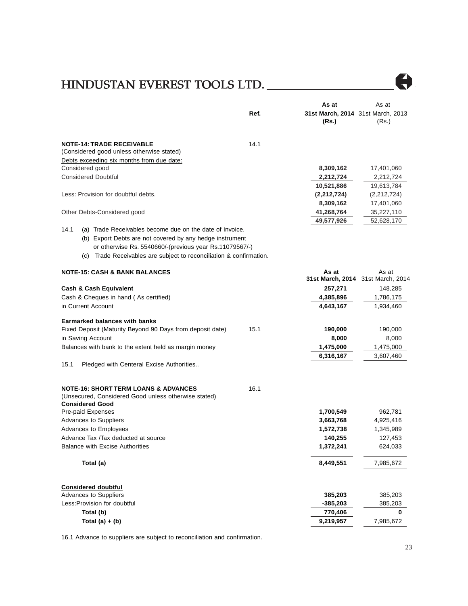

|                                                                                                                                   |      | As at                                      | As at                                      |
|-----------------------------------------------------------------------------------------------------------------------------------|------|--------------------------------------------|--------------------------------------------|
|                                                                                                                                   | Ref. | 31st March, 2014 31st March, 2013<br>(Rs.) | (Rs.)                                      |
| <b>NOTE-14: TRADE RECEIVABLE</b><br>(Considered good unless otherwise stated)                                                     | 14.1 |                                            |                                            |
| Debts exceeding six months from due date:                                                                                         |      |                                            |                                            |
| Considered good                                                                                                                   |      | 8,309,162                                  | 17,401,060                                 |
| <b>Considered Doubtful</b>                                                                                                        |      | 2,212,724                                  | 2,212,724                                  |
|                                                                                                                                   |      | 10,521,886                                 | 19,613,784                                 |
| Less: Provision for doubtful debts.                                                                                               |      | (2,212,724)                                | (2,212,724)                                |
|                                                                                                                                   |      | 8,309,162                                  | 17,401,060                                 |
| Other Debts-Considered good                                                                                                       |      | 41,268,764                                 | 35,227,110                                 |
|                                                                                                                                   |      | 49,577,926                                 | 52,628,170                                 |
| 14.1<br>(a) Trade Receivables become due on the date of Invoice.                                                                  |      |                                            |                                            |
| (b) Export Debts are not covered by any hedge instrument                                                                          |      |                                            |                                            |
| or otherwise Rs. 5540660/-(previous year Rs.11079567/-)                                                                           |      |                                            |                                            |
| (c) Trade Receivables are subject to reconciliation & confirmation.                                                               |      |                                            |                                            |
| <b>NOTE-15: CASH &amp; BANK BALANCES</b>                                                                                          |      | As at                                      | As at<br>31st March, 2014 31st March, 2014 |
|                                                                                                                                   |      |                                            |                                            |
| <b>Cash &amp; Cash Equivalent</b>                                                                                                 |      | 257,271                                    | 148,285                                    |
| Cash & Cheques in hand (As certified)<br>in Current Account                                                                       |      | 4,385,896                                  | 1,786,175                                  |
|                                                                                                                                   |      | 4,643,167                                  | 1,934,460                                  |
| <b>Earmarked balances with banks</b>                                                                                              |      |                                            |                                            |
| Fixed Deposit (Maturity Beyond 90 Days from deposit date)                                                                         | 15.1 | 190,000                                    | 190,000                                    |
| in Saving Account                                                                                                                 |      | 8,000                                      | 8,000                                      |
| Balances with bank to the extent held as margin money                                                                             |      | 1,475,000                                  | 1,475,000                                  |
|                                                                                                                                   |      | 6,316,167                                  | 3,607,460                                  |
| 15.1<br>Pledged with Centeral Excise Authorities                                                                                  |      |                                            |                                            |
| <b>NOTE-16: SHORT TERM LOANS &amp; ADVANCES</b><br>(Unsecured, Considered Good unless otherwise stated)<br><b>Considered Good</b> | 16.1 |                                            |                                            |
| Pre-paid Expenses                                                                                                                 |      | 1,700,549                                  | 962,781                                    |
| <b>Advances to Suppliers</b>                                                                                                      |      | 3,663,768                                  | 4,925,416                                  |
| Advances to Employees                                                                                                             |      | 1,572,738                                  | 1,345,989                                  |
| Advance Tax /Tax deducted at source                                                                                               |      | 140,255                                    | 127,453                                    |
| <b>Balance with Excise Authorities</b>                                                                                            |      | 1,372,241                                  | 624,033                                    |
| Total (a)                                                                                                                         |      | 8,449,551                                  | 7,985,672                                  |
| <b>Considered doubtful</b>                                                                                                        |      |                                            |                                            |
| Advances to Suppliers                                                                                                             |      | 385,203                                    | 385,203                                    |
| Less: Provision for doubtful                                                                                                      |      | $-385,203$                                 | 385,203                                    |
| Total (b)                                                                                                                         |      | 770,406                                    | 0                                          |
| Total $(a) + (b)$                                                                                                                 |      | 9,219,957                                  | 7,985,672                                  |

16.1 Advance to suppliers are subject to reconciliation and confirmation.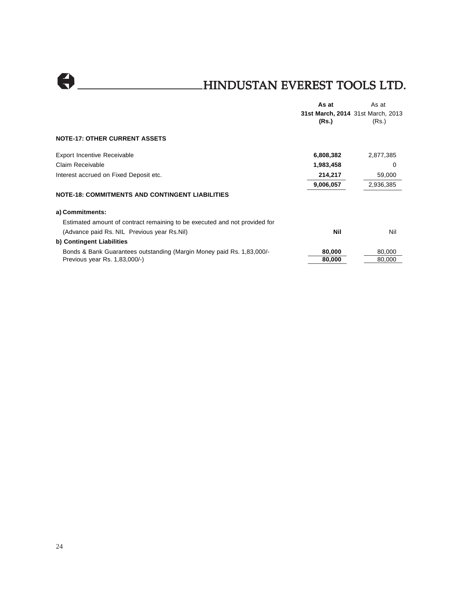

|                                                                            | As at     | As at                             |
|----------------------------------------------------------------------------|-----------|-----------------------------------|
|                                                                            |           | 31st March, 2014 31st March, 2013 |
|                                                                            | (Rs.)     | (Rs.)                             |
| <b>NOTE-17: OTHER CURRENT ASSETS</b>                                       |           |                                   |
| <b>Export Incentive Receivable</b>                                         | 6,808,382 | 2,877,385                         |
| Claim Receivable                                                           | 1,983,458 | 0                                 |
| Interest accrued on Fixed Deposit etc.                                     | 214,217   | 59,000                            |
|                                                                            | 9,006,057 | 2,936,385                         |
| <b>NOTE-18: COMMITMENTS AND CONTINGENT LIABILITIES</b>                     |           |                                   |
| a) Commitments:                                                            |           |                                   |
| Estimated amount of contract remaining to be executed and not provided for |           |                                   |
| (Advance paid Rs. NIL Previous year Rs. Nil)                               | Nil       | Nil                               |
| b) Contingent Liabilities                                                  |           |                                   |
| Bonds & Bank Guarantees outstanding (Margin Money paid Rs. 1,83,000/-      | 80,000    | 80,000                            |
| Previous year Rs. 1,83,000/-)                                              | 80,000    | 80.000                            |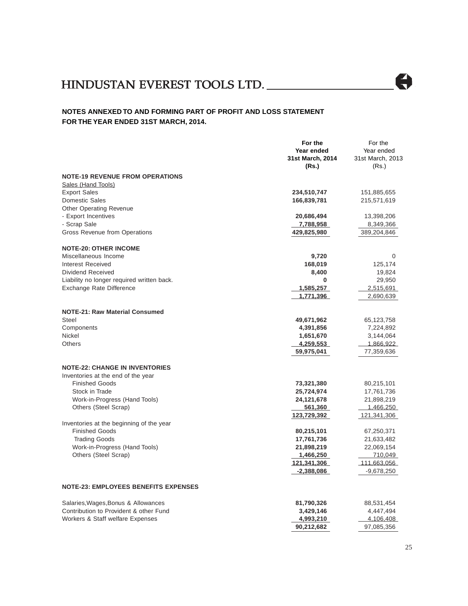# HINDUSTAN EVEREST TOOLS LTD. AN TOOLS LTD.

# $\bigoplus$

### **NOTES ANNEXED TO AND FORMING PART OF PROFIT AND LOSS STATEMENT FOR THE YEAR ENDED 31ST MARCH, 2014.**

|                                             | For the          | For the          |
|---------------------------------------------|------------------|------------------|
|                                             | Year ended       | Year ended       |
|                                             | 31st March, 2014 | 31st March, 2013 |
|                                             | (Rs.)            | (Rs.)            |
| <b>NOTE-19 REVENUE FROM OPERATIONS</b>      |                  |                  |
| Sales (Hand Tools)                          |                  |                  |
| <b>Export Sales</b>                         | 234,510,747      | 151,885,655      |
| <b>Domestic Sales</b>                       | 166,839,781      | 215,571,619      |
| <b>Other Operating Revenue</b>              |                  |                  |
| - Export Incentives                         | 20,686,494       | 13,398,206       |
| - Scrap Sale                                | 7,788,958        | 8,349,366        |
| Gross Revenue from Operations               | 429,825,980      | 389,204,846      |
|                                             |                  |                  |
| <b>NOTE-20: OTHER INCOME</b>                |                  |                  |
| Miscellaneous Income                        | 9,720            | 0                |
| Interest Received                           | 168,019          | 125,174          |
| <b>Dividend Received</b>                    | 8,400            |                  |
|                                             | 0                | 19,824           |
| Liability no longer required written back.  |                  | 29,950           |
| Exchange Rate Difference                    | 1,585,257        | 2,515,691        |
|                                             | 1,771,396        | 2,690,639        |
|                                             |                  |                  |
| <b>NOTE-21: Raw Material Consumed</b>       |                  |                  |
| Steel                                       | 49,671,962       | 65,123,758       |
| Components                                  | 4,391,856        | 7,224,892        |
| Nickel                                      | 1,651,670        | 3,144,064        |
| <b>Others</b>                               | 4,259,553        | 1,866,922        |
|                                             | 59,975,041       | 77,359,636       |
|                                             |                  |                  |
| <b>NOTE-22: CHANGE IN INVENTORIES</b>       |                  |                  |
| Inventories at the end of the year          |                  |                  |
| <b>Finished Goods</b>                       | 73,321,380       | 80,215,101       |
| Stock in Trade                              | 25,724,974       | 17,761,736       |
| Work-in-Progress (Hand Tools)               | 24,121,678       | 21,898,219       |
| Others (Steel Scrap)                        | 561,360          | <u>1,466,250</u> |
|                                             | 123,729,392      | 121,341,306      |
| Inventories at the beginning of the year    |                  |                  |
| <b>Finished Goods</b>                       | 80,215,101       | 67,250,371       |
| <b>Trading Goods</b>                        | 17,761,736       | 21,633,482       |
| Work-in-Progress (Hand Tools)               | 21,898,219       | 22,069,154       |
| Others (Steel Scrap)                        | 1,466,250        | 710,049          |
|                                             | 121,341,306      | 111,663,056      |
|                                             | -2,388,086       | $-9,678,250$     |
|                                             |                  |                  |
| <b>NOTE-23: EMPLOYEES BENEFITS EXPENSES</b> |                  |                  |
| Salaries, Wages, Bonus & Allowances         | 81,790,326       | 88,531,454       |
| Contribution to Provident & other Fund      | 3,429,146        | 4,447,494        |
| Workers & Staff welfare Expenses            | 4,993,210        | 4,106,408        |
|                                             | 90,212,682       | 97,085,356       |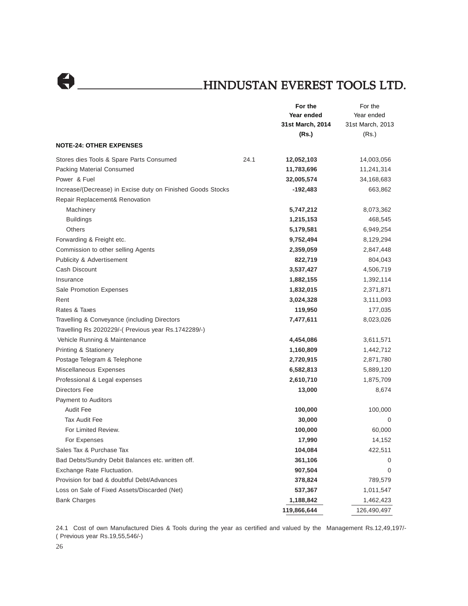$\Theta$ 

# HINDUSTAN EVEREST TOOLS LTD.

|                                                                                               |      | For the          | For the          |
|-----------------------------------------------------------------------------------------------|------|------------------|------------------|
|                                                                                               |      | Year ended       | Year ended       |
|                                                                                               |      | 31st March, 2014 | 31st March, 2013 |
|                                                                                               |      | (Rs.)            | (Rs.)            |
| <b>NOTE-24: OTHER EXPENSES</b>                                                                |      |                  |                  |
| Stores dies Tools & Spare Parts Consumed                                                      | 24.1 | 12,052,103       | 14,003,056       |
| Packing Material Consumed                                                                     |      | 11,783,696       | 11,241,314       |
| Power & Fuel                                                                                  |      | 32,005,574       | 34,168,683       |
| Increase/(Decrease) in Excise duty on Finished Goods Stocks<br>Repair Replacement& Renovation |      | $-192,483$       | 663,862          |
| Machinery                                                                                     |      | 5,747,212        | 8,073,362        |
| <b>Buildings</b>                                                                              |      | 1,215,153        | 468,545          |
| <b>Others</b>                                                                                 |      | 5,179,581        | 6,949,254        |
| Forwarding & Freight etc.                                                                     |      | 9,752,494        | 8,129,294        |
| Commission to other selling Agents                                                            |      | 2,359,059        | 2,847,448        |
| <b>Publicity &amp; Advertisement</b>                                                          |      | 822,719          | 804,043          |
| Cash Discount                                                                                 |      | 3,537,427        | 4,506,719        |
| Insurance                                                                                     |      | 1,882,155        | 1,392,114        |
| Sale Promotion Expenses                                                                       |      | 1,832,015        | 2,371,871        |
| Rent                                                                                          |      | 3,024,328        | 3,111,093        |
| Rates & Taxes                                                                                 |      | 119,950          | 177,035          |
| Travelling & Conveyance (including Directors                                                  |      | 7,477,611        | 8,023,026        |
| Travelling Rs 2020229/-( Previous year Rs.1742289/-)                                          |      |                  |                  |
| Vehicle Running & Maintenance                                                                 |      | 4,454,086        | 3,611,571        |
| <b>Printing &amp; Stationery</b>                                                              |      | 1,160,809        | 1,442,712        |
| Postage Telegram & Telephone                                                                  |      | 2,720,915        | 2,871,780        |
| Miscellaneous Expenses                                                                        |      | 6,582,813        | 5,889,120        |
| Professional & Legal expenses                                                                 |      | 2,610,710        | 1,875,709        |
| Directors Fee                                                                                 |      | 13,000           | 8,674            |
| Payment to Auditors                                                                           |      |                  |                  |
| <b>Audit Fee</b>                                                                              |      | 100,000          | 100,000          |
| <b>Tax Audit Fee</b>                                                                          |      | 30,000           | 0                |
| For Limited Review.                                                                           |      | 100,000          | 60,000           |
| For Expenses                                                                                  |      | 17,990           | 14,152           |
| Sales Tax & Purchase Tax                                                                      |      | 104,084          | 422,511          |
| Bad Debts/Sundry Debit Balances etc. written off.                                             |      | 361,106          | 0                |
| Exchange Rate Fluctuation.                                                                    |      | 907,504          | 0                |
| Provision for bad & doubtful Debt/Advances                                                    |      | 378,824          | 789,579          |
| Loss on Sale of Fixed Assets/Discarded (Net)                                                  |      | 537,367          | 1,011,547        |
| <b>Bank Charges</b>                                                                           |      | 1,188,842        | 1,462,423        |
|                                                                                               |      | 119,866,644      | 126,490,497      |

24.1 Cost of own Manufactured Dies & Tools during the year as certified and valued by the Management Rs.12,49,197/- ( Previous year Rs.19,55,546/-)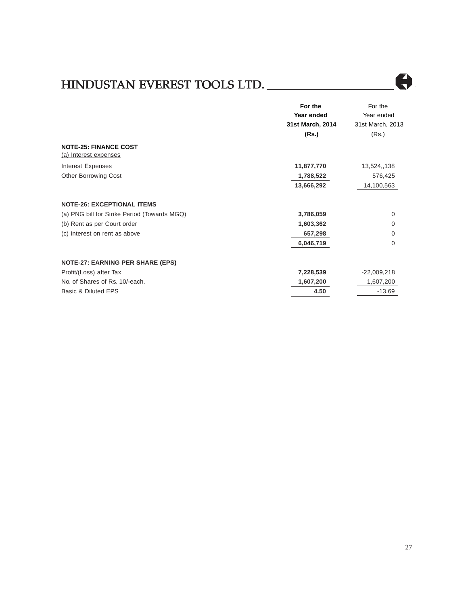# HINDUSTAN EVEREST TOOLS LTD. AN TOOLS LTD.



|                                                       | For the          | For the          |
|-------------------------------------------------------|------------------|------------------|
|                                                       | Year ended       | Year ended       |
|                                                       | 31st March, 2014 | 31st March, 2013 |
|                                                       | (Rs.)            | (Rs.)            |
| <b>NOTE-25: FINANCE COST</b><br>(a) Interest expenses |                  |                  |
| Interest Expenses                                     | 11,877,770       | 13,524,,138      |
| <b>Other Borrowing Cost</b>                           | 1,788,522        | 576,425          |
|                                                       | 13,666,292       | 14,100,563       |
| <b>NOTE-26: EXCEPTIONAL ITEMS</b>                     |                  |                  |
| (a) PNG bill for Strike Period (Towards MGQ)          | 3,786,059        | $\Omega$         |
| (b) Rent as per Court order                           | 1,603,362        | 0                |
| (c) Interest on rent as above                         | 657,298          | 0                |
|                                                       | 6,046,719        | $\Omega$         |
| <b>NOTE-27: EARNING PER SHARE (EPS)</b>               |                  |                  |
| Profit/(Loss) after Tax                               | 7,228,539        | $-22,009,218$    |
| No. of Shares of Rs. 10/-each.                        | 1,607,200        | 1,607,200        |
| Basic & Diluted EPS                                   | 4.50             | $-13.69$         |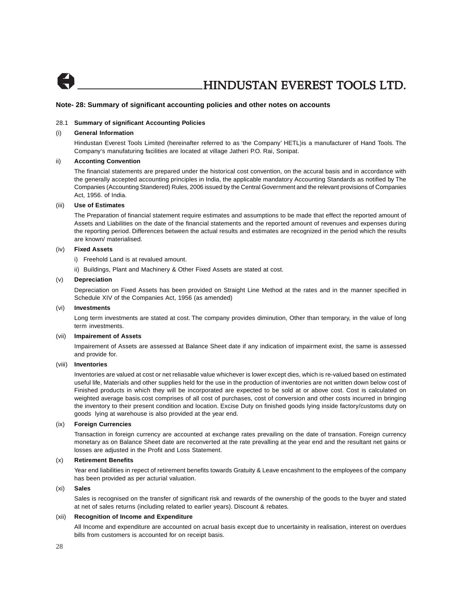

#### **Note- 28: Summary of significant accounting policies and other notes on accounts**

#### 28.1 **Summary of significant Accounting Policies**

### (i) **General Information**

Hindustan Everest Tools Limited (hereinafter referred to as 'the Company' HETL)is a manufacturer of Hand Tools. The Company's manufaturing facilities are located at village Jatheri P.O. Rai, Sonipat.

#### ii) **Acconting Convention**

The financial statements are prepared under the historical cost convention, on the accural basis and in accordance with the generally accepted accounting principles in India, the applicable mandatory Accounting Standards as notified by The Companies (Accounting Standered) Rules, 2006 issued by the Central Government and the relevant provisions of Companies Act, 1956. of India.

#### (iii) **Use of Estimates**

The Preparation of financial statement require estimates and assumptions to be made that effect the reported amount of Assets and Liabilities on the date of the financial statements and the reported amount of revenues and expenses during the reporting period. Differences between the actual results and estimates are recognized in the period which the results are known/ materialised.

### (iv) **Fixed Assets**

- i) Freehold Land is at revalued amount.
- ii) Buildings, Plant and Machinery & Other Fixed Assets are stated at cost.

#### (v) **Depreciation**

Depreciation on Fixed Assets has been provided on Straight Line Method at the rates and in the manner specified in Schedule XIV of the Companies Act, 1956 (as amended)

#### (vi) **Investments**

Long term investments are stated at cost. The company provides diminution, Other than temporary, in the value of long term investments.

#### (vii) **Impairement of Assets**

Impairement of Assets are assessed at Balance Sheet date if any indication of impairment exist, the same is assessed and provide for.

### (viii) **Inventories**

Inventories are valued at cost or net reliasable value whichever is lower except dies, which is re-valued based on estimated useful life, Materials and other supplies held for the use in the production of inventories are not written down below cost of Finished products in which they will be incorporated are expected to be sold at or above cost. Cost is calculated on weighted average basis.cost comprises of all cost of purchases, cost of conversion and other costs incurred in bringing the inventory to their present condition and location. Excise Duty on finished goods lying inside factory/customs duty on goods lying at warehouse is also provided at the year end.

#### (ix) **Foreign Currencies**

Transaction in foreign currency are accounted at exchange rates prevailing on the date of transation. Foreign currency monetary as on Balance Sheet date are reconverted at the rate prevalling at the year end and the resultant net gains or losses are adjusted in the Profit and Loss Statement.

#### (x) **Retirement Benefits**

Year end liabilities in repect of retirement benefits towards Gratuity & Leave encashment to the employees of the company has been provided as per acturial valuation.

### (xi) **Sales**

Sales is recognised on the transfer of significant risk and rewards of the ownership of the goods to the buyer and stated at net of sales returns (including related to earlier years). Discount & rebates.

#### (xii) **Recognition of Income and Expenditure**

All Income and expenditure are accounted on acrual basis except due to uncertainity in realisation, interest on overdues bills from customers is accounted for on receipt basis.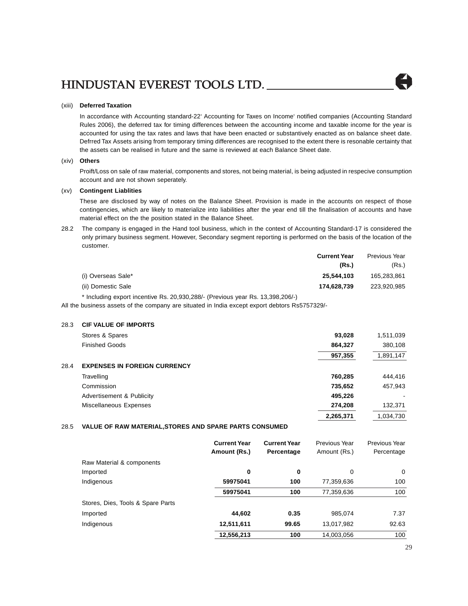### (xiii) **Deferred Taxation**

In accordance with Accounting standard-22' Accounting for Taxes on Income' notified companies (Accounting Standard Rules 2006), the deferred tax for timing differences between the accounting income and taxable income for the year is accounted for using the tax rates and laws that have been enacted or substantively enacted as on balance sheet date. Defrred Tax Assets arising from temporary timing differences are recognised to the extent there is resonable certainty that the assets can be realised in future and the same is reviewed at each Balance Sheet date.

### (xiv) **Others**

Proift/Loss on sale of raw material, components and stores, not being material, is being adjusted in respecive consumption account and are not shown seperately.

### (xv) **Contingent Liablities**

These are disclosed by way of notes on the Balance Sheet. Provision is made in the accounts on respect of those contingencies, which are likely to materialize into liabilities after the year end till the finalisation of accounts and have material effect on the the position stated in the Balance Sheet.

28.2 The company is engaged in the Hand tool business, which in the context of Accounting Standard-17 is considered the only primary business segment. However, Secondary segment reporting is performed on the basis of the location of the customer.

|                    | <b>Current Year</b> | Previous Year |
|--------------------|---------------------|---------------|
|                    | (Rs)                | (Rs.)         |
| (i) Overseas Sale* | 25.544.103          | 165,283,861   |
| (ii) Domestic Sale | 174.628.739         | 223,920,985   |

\* Including export incentive Rs. 20,930,288/- (Previous year Rs. 13,398,206/-)

All the business assets of the company are situated in India except export debtors Rs5757329/-

### 28.3 **CIF VALUE OF IMPORTS**

|      | Stores & Spares                     | 93,028    | 1,511,039      |
|------|-------------------------------------|-----------|----------------|
|      | <b>Finished Goods</b>               | 864,327   | 380,108        |
|      |                                     | 957,355   | 1,891,147      |
| 28.4 | <b>EXPENSES IN FOREIGN CURRENCY</b> |           |                |
|      | Travelling                          | 760,285   | 444.416        |
|      | Commission                          | 735,652   | 457,943        |
|      | Advertisement & Publicity           | 495,226   | $\blacksquare$ |
|      | Miscellaneous Expenses              | 274.208   | 132,371        |
|      |                                     | 2,265,371 | 1,034,730      |

### 28.5 **VALUE OF RAW MATERIAL,STORES AND SPARE PARTS CONSUMED**

|                                   | <b>Current Year</b><br>Amount (Rs.) | <b>Current Year</b><br>Percentage | Previous Year<br>Amount (Rs.) | Previous Year<br>Percentage |
|-----------------------------------|-------------------------------------|-----------------------------------|-------------------------------|-----------------------------|
| Raw Material & components         |                                     |                                   |                               |                             |
| Imported                          | 0                                   | 0                                 | 0                             | $\Omega$                    |
| Indigenous                        | 59975041                            | 100                               | 77,359,636                    | 100                         |
|                                   | 59975041                            | 100                               | 77,359,636                    | 100                         |
| Stores, Dies, Tools & Spare Parts |                                     |                                   |                               |                             |
| Imported                          | 44,602                              | 0.35                              | 985,074                       | 7.37                        |
| Indigenous                        | 12,511,611                          | 99.65                             | 13,017,982                    | 92.63                       |
|                                   | 12,556,213                          | 100                               | 14,003,056                    | 100                         |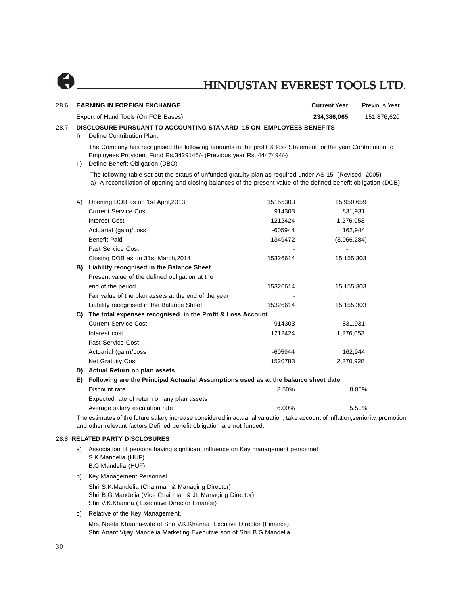| 28.6                 |               | <b>EARNING IN FOREIGN EXCHANGE</b>                                                                                                                                                                                           |           | <b>Current Year</b> | Previous Year |
|----------------------|---------------|------------------------------------------------------------------------------------------------------------------------------------------------------------------------------------------------------------------------------|-----------|---------------------|---------------|
|                      |               | Export of Hand Tools (On FOB Bases)                                                                                                                                                                                          |           | 234,386,065         | 151,876,620   |
| 28.7<br>$\mathbf{D}$ |               | DISCLOSURE PURSUANT TO ACCOUNTING STANARD -15 ON EMPLOYEES BENEFITS<br>Define Contribution Plan.                                                                                                                             |           |                     |               |
|                      | $\mathsf{II}$ | The Company has recognised the following amounts in the profit & loss Statement for the year Contribution to<br>Employees Provident Fund Rs.3429146/- (Previous year Rs. 4447494/-)<br>Define Benefit Obligation (DBO)       |           |                     |               |
|                      |               | The following table set out the status of unfunded gratuity plan as required under AS-15 (Revised -2005)<br>a) A reconciliation of opening and closing balances of the present value of the defined benefit obligation (DOB) |           |                     |               |
|                      |               | A) Opening DOB as on 1st April, 2013                                                                                                                                                                                         | 15155303  | 15,950,659          |               |
|                      |               | <b>Current Service Cost</b>                                                                                                                                                                                                  | 914303    | 831,931             |               |
|                      |               | <b>Interest Cost</b>                                                                                                                                                                                                         | 1212424   | 1,276,053           |               |
|                      |               | Actuarial (gain)/Loss                                                                                                                                                                                                        | -605944   | 162,944             |               |
|                      |               | <b>Benefit Paid</b>                                                                                                                                                                                                          | -1349472  | (3,066,284)         |               |
|                      |               | Past Service Cost                                                                                                                                                                                                            |           |                     |               |
|                      |               | Closing DOB as on 31st March, 2014                                                                                                                                                                                           | 15326614  | 15,155,303          |               |
|                      |               | B) Liability recognised in the Balance Sheet                                                                                                                                                                                 |           |                     |               |
|                      |               | Present value of the defined obligation at the                                                                                                                                                                               |           |                     |               |
|                      |               | end of the period                                                                                                                                                                                                            | 15326614  | 15,155,303          |               |
|                      |               | Fair value of the plan assets at the end of the year                                                                                                                                                                         |           |                     |               |
|                      |               | Liability recognised in the Balance Sheet                                                                                                                                                                                    | 15326614  | 15,155,303          |               |
|                      |               | C) The total expenses recognised in the Profit & Loss Account                                                                                                                                                                |           |                     |               |
|                      |               | <b>Current Service Cost</b>                                                                                                                                                                                                  | 914303    | 831,931             |               |
|                      |               | Interest cost                                                                                                                                                                                                                | 1212424   | 1,276,053           |               |
|                      |               | Past Service Cost                                                                                                                                                                                                            |           |                     |               |
|                      |               | Actuarial (gain)/Loss                                                                                                                                                                                                        | $-605944$ | 162,944             |               |
|                      |               | <b>Net Gratuity Cost</b>                                                                                                                                                                                                     | 1520783   | 2,270,928           |               |
|                      |               | D) Actual Return on plan assets                                                                                                                                                                                              |           |                     |               |
|                      | E).           | Following are the Principal Actuarial Assumptions used as at the balance sheet date                                                                                                                                          |           |                     |               |
|                      |               | Discount rate                                                                                                                                                                                                                | 8.50%     |                     | 8.00%         |
|                      |               | Expected rate of return on any plan assets                                                                                                                                                                                   |           |                     |               |
|                      |               | Average salary escalation rate                                                                                                                                                                                               | 6.00%     |                     | 5.50%         |
|                      |               | The estimates of the future salary increase considered in actuarial valuation, take account of inflation, seniority, promotion                                                                                               |           |                     |               |
|                      |               | and other relevant factors. Defined benefit obligation are not funded.                                                                                                                                                       |           |                     |               |

#### 28.8 **RELATED PARTY DISCLOSURES**

- a) Association of persons having significant influence on Key management personnel S.K.Mandelia (HUF) B.G.Mandelia (HUF)
- b) Key Management Personnel Shri S.K.Mandelia (Chairman & Managing Director) Shri B.G.Mandelia (Vice Chairman & Jt. Managing Director) Shri V.K.Khanna ( Executive Director Finance)
- c) Relative of the Key Management. Mrs. Neeta Khanna-wife of Shri V.K.Khanna Excutive Director (Finance) Shri Anant Vijay Mandelia Marketing Executive son of Shri B.G.Mandelia.

 $\bullet$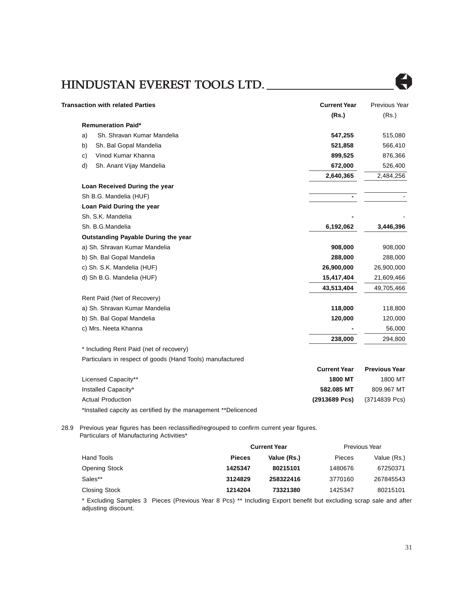

| <b>Transaction with related Parties</b>                   | <b>Current Year</b> | Previous Year        |
|-----------------------------------------------------------|---------------------|----------------------|
|                                                           | (Rs.)               | (Rs.)                |
| <b>Remuneration Paid*</b>                                 |                     |                      |
| Sh. Shravan Kumar Mandelia<br>a)                          | 547,255             | 515,080              |
| Sh. Bal Gopal Mandelia<br>b)                              | 521,858             | 566,410              |
| Vinod Kumar Khanna<br>$\mathsf{c})$                       | 899,525             | 876,366              |
| d)<br>Sh. Anant Vijay Mandelia                            | 672,000             | 526,400              |
|                                                           | 2,640,365           | 2,484,256            |
| Loan Received During the year                             |                     |                      |
| Sh B.G. Mandelia (HUF)                                    |                     |                      |
| Loan Paid During the year                                 |                     |                      |
| Sh. S.K. Mandelia                                         |                     |                      |
| Sh. B.G.Mandelia                                          | 6,192,062           | 3,446,396            |
| Outstanding Payable During the year                       |                     |                      |
| a) Sh. Shravan Kumar Mandelia                             | 908,000             | 908,000              |
| b) Sh. Bal Gopal Mandelia                                 | 288,000             | 288,000              |
| c) Sh. S.K. Mandelia (HUF)                                | 26,900,000          | 26,900,000           |
| d) Sh B.G. Mandelia (HUF)                                 | 15,417,404          | 21,609,466           |
|                                                           | 43,513,404          | 49,705,466           |
| Rent Paid (Net of Recovery)                               |                     |                      |
| a) Sh. Shravan Kumar Mandelia                             | 118,000             | 118,800              |
| b) Sh. Bal Gopal Mandelia                                 | 120,000             | 120,000              |
| c) Mrs. Neeta Khanna                                      |                     | 56,000               |
|                                                           | 238,000             | 294,800              |
| * Including Rent Paid (net of recovery)                   |                     |                      |
| Particulars in respect of goods (Hand Tools) manufactured |                     |                      |
|                                                           | <b>Current Year</b> | <b>Previous Year</b> |

|                                                                | vun Goldenbar   |               |
|----------------------------------------------------------------|-----------------|---------------|
| Licensed Capacity**                                            | 1800 MT         | 1800 MT       |
| Installed Capacity*                                            | 582.085 MT      | 809.967 MT    |
| <b>Actual Production</b>                                       | $(2913689$ Pcs) | (3714839 Pcs) |
| *Installed capcity as certified by the management **Delicenced |                 |               |

28.9 Previous year figures has been reclassified/regrouped to confirm current year figures. Particulars of Manufacturing Activities\*

|                      | <b>Current Year</b> |             | Previous Year |             |
|----------------------|---------------------|-------------|---------------|-------------|
| Hand Tools           | <b>Pieces</b>       | Value (Rs.) | <b>Pieces</b> | Value (Rs.) |
| <b>Opening Stock</b> | 1425347             | 80215101    | 1480676       | 67250371    |
| Sales**              | 3124829             | 258322416   | 3770160       | 267845543   |
| <b>Closing Stock</b> | 1214204             | 73321380    | 1425347       | 80215101    |

\* Excluding Samples 3 Pieces (Previous Year 8 Pcs) \*\* Including Export benefit but excluding scrap sale and after adjusting discount.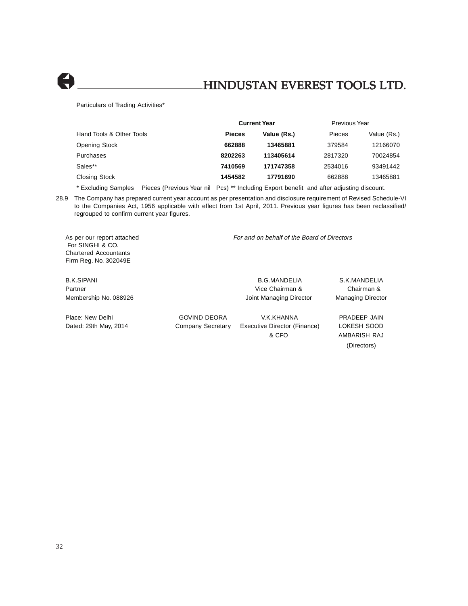

Particulars of Trading Activities\*

|                          | <b>Current Year</b> |             |         | Previous Year |  |
|--------------------------|---------------------|-------------|---------|---------------|--|
| Hand Tools & Other Tools | <b>Pieces</b>       | Value (Rs.) | Pieces  | Value (Rs.)   |  |
| <b>Opening Stock</b>     | 662888              | 13465881    | 379584  | 12166070      |  |
| Purchases                | 8202263             | 113405614   | 2817320 | 70024854      |  |
| Sales**                  | 7410569             | 171747358   | 2534016 | 93491442      |  |
| Closing Stock            | 1454582             | 17791690    | 662888  | 13465881      |  |

\* Excluding Samples Pieces (Previous Year nil Pcs) \*\* Including Export benefit and after adjusting discount.

28.9 The Company has prepared current year account as per presentation and disclosure requirement of Revised Schedule-VI to the Companies Act, 1956 applicable with effect from 1st April, 2011. Previous year figures has been reclassified/ regrouped to confirm current year figures.

As per our report attached For and on behalf of the Board of Directors For SINGHI & CO. Chartered Accountants Firm Reg. No. 302049E

Partner **Partner Chairman & Chairman & Chairman & Chairman & Chairman & Chairman &** Membership No. 088926 **Managing Director** Joint Managing Director Managing Director

B.K.SIPANI B.G.MANDELIA S.K.MANDELIA

Place: New Delhi GOVIND DEORA V.K.KHANNA PRADEEP JAIN Dated: 29th May, 2014 Company Secretary Executive Director (Finance) LOKESH SOOD & CFO AMBARISH RAJ

(Directors)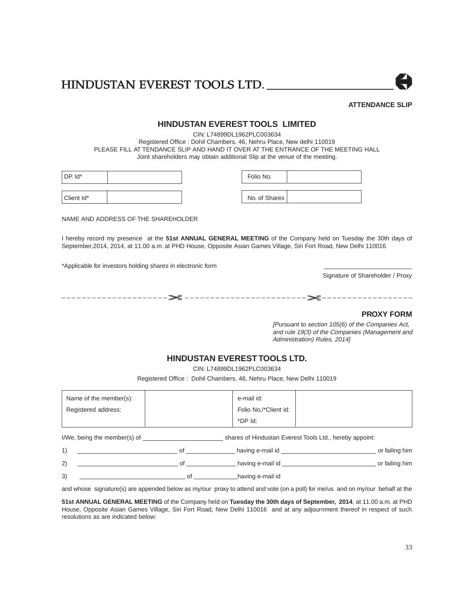

### **ATTENDANCE SLIP**

### **HINDUSTAN EVEREST TOOLS LIMITED**

CIN: L74899DL1962PLC003634 Registered Office : Dohil Chambers, 46, Nehru Place, New delhi 110019 PLEASE FILL AT TENDANCE SLIP AND HAND IT OVER AT THE ENTRANCE OF THE MEETING HALL Joint shareholders may obtain additional Slip at the venue of the meeting.

| DP. Id*    | Folio No.     |  |
|------------|---------------|--|
| Client Id* | No. of Shares |  |

NAME AND ADDRESS OF THE SHAREHOLDER

I hereby record my presence at the **51st ANNUAL GENERAL MEETING** of the Company held on Tuesday the 30th days of September,2014, 2014, at 11.00 a.m. at PHD House, Opposite Asian Games Village, Siri Fort Road, New Delhi 110016

\*Applicable for investors holding shares in electronic form \_\_\_\_\_\_\_\_\_\_\_\_\_\_\_\_\_\_\_\_\_\_\_\_\_\_

Signature of Shareholder / Proxy

\_ \_ \_ \_ \_ \_ \_ \_ \_ \_ \_ \_ \_ \_ \_ \_ \_ \_ \_ \_ \_ \_ \_ \_ \_ \_ \_ \_ \_ \_ \_ \_ \_ \_ \_ \_ \_ \_ \_ \_ \_ \_ \_ \_ \_ \_ \_ \_ \_ \_ \_ \_ \_ \_ \_ \_ \_ \_ \_ \_ \_ \_ \_

### **PROXY FORM**

[Pursuant to section 105(6) of the Companies Act, and rule 19(3) of the Companies (Management and Administration) Rules, 2014]

### **HINDUSTAN EVEREST TOOLS LTD.**

CIN: L74899DL1962PLC003634

Registered Office : Dohil Chambers, 46, Nehru Place, New Delhi 110019

| Folio No./*Client id:<br>Registered address:<br>*DP Id: | Name of the member(s): | e-mail id: |  |
|---------------------------------------------------------|------------------------|------------|--|
|                                                         |                        |            |  |
|                                                         |                        |            |  |

I/We, being the member(s) of shares of Hindustan Everest Tools Ltd., hereby appoint:

|    |  | having e-mail id | or failing him |
|----|--|------------------|----------------|
| 2) |  | having e-mail id | or failing him |

3) contract a contract of the contract of the contract of the having e-mail id

and whose signature(s) are appended below as my/our proxy to attend and vote (on a poll) for me/us and on my/our behalf at the

**51st ANNUAL GENERAL MEETING** of the Company held on **Tuesday the 30th days of September, 2014**, at 11.00 a.m. at PHD House, Opposite Asian Games Village, Siri Fort Road, New Delhi 110016 and at any adjournment thereof in respect of such resolutions as are indicated below: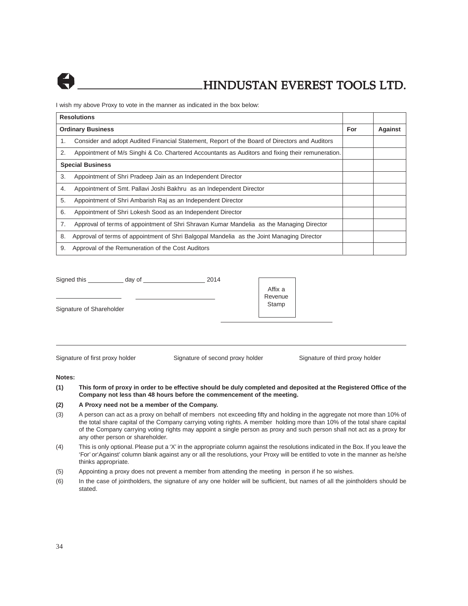

I wish my above Proxy to vote in the manner as indicated in the box below:

| <b>Resolutions</b>       |                                                                                                  |  |                |
|--------------------------|--------------------------------------------------------------------------------------------------|--|----------------|
| <b>Ordinary Business</b> |                                                                                                  |  | <b>Against</b> |
| 1.                       | Consider and adopt Audited Financial Statement, Report of the Board of Directors and Auditors    |  |                |
| 2.                       | Appointment of M/s Singhi & Co. Chartered Accountants as Auditors and fixing their remuneration. |  |                |
| <b>Special Business</b>  |                                                                                                  |  |                |
| 3.                       | Appointment of Shri Pradeep Jain as an Independent Director                                      |  |                |
| 4.                       | Appointment of Smt. Pallavi Joshi Bakhru as an Independent Director                              |  |                |
| 5.                       | Appointment of Shri Ambarish Raj as an Independent Director                                      |  |                |
| 6.                       | Appointment of Shri Lokesh Sood as an Independent Director                                       |  |                |
| 7.                       | Approval of terms of appointment of Shri Shravan Kumar Mandelia as the Managing Director         |  |                |
| 8.                       | Approval of terms of appointment of Shri Balgopal Mandelia as the Joint Managing Director        |  |                |
| 9.                       | Approval of the Remuneration of the Cost Auditors                                                |  |                |

| Signed this              | day of | 2014 |                             |  |
|--------------------------|--------|------|-----------------------------|--|
|                          |        |      | Affix a<br>Revenue<br>Stamp |  |
| Signature of Shareholder |        |      |                             |  |
|                          |        |      |                             |  |
|                          |        |      |                             |  |

Signature of first proxy holder Signature of second proxy holder Signature of third proxy holder

#### **Notes:**

**(1) This form of proxy in order to be effective should be duly completed and deposited at the Registered Office of the Company not less than 48 hours before the commencement of the meeting.**

### **(2) A Proxy need not be a member of the Company.**

- (3) A person can act as a proxy on behalf of members not exceeding fifty and holding in the aggregate not more than 10% of the total share capital of the Company carrying voting rights. A member holding more than 10% of the total share capital of the Company carrying voting rights may appoint a single person as proxy and such person shall not act as a proxy for any other person or shareholder.
- (4) This is only optional. Please put a 'X' in the appropriate column against the resolutions indicated in the Box. If you leave the 'For' or'Against' column blank against any or all the resolutions, your Proxy will be entitled to vote in the manner as he/she thinks appropriate.
- (5) Appointing a proxy does not prevent a member from attending the meeting in person if he so wishes.
- (6) In the case of jointholders, the signature of any one holder will be sufficient, but names of all the jointholders should be stated.